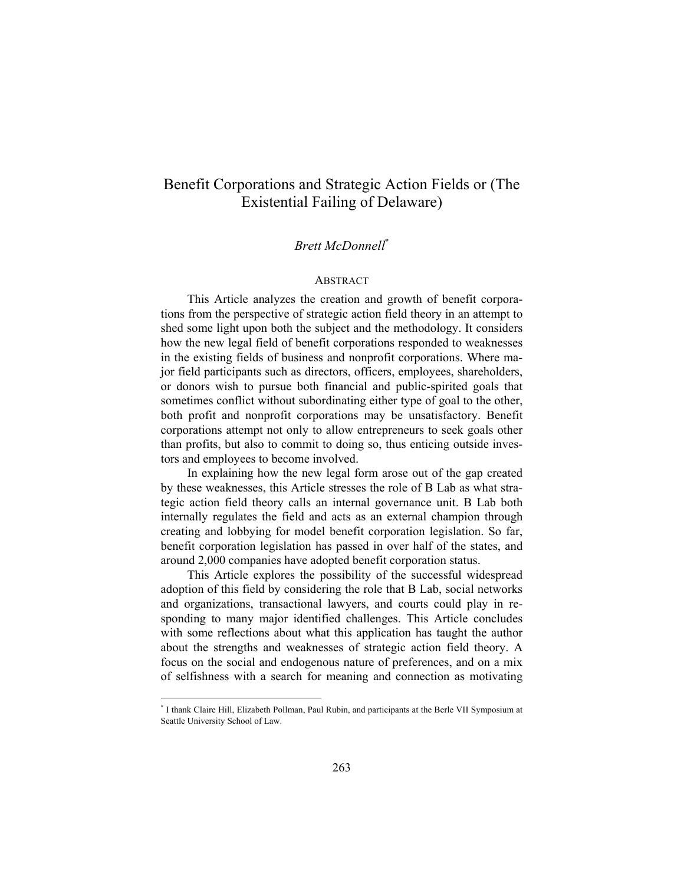# Benefit Corporations and Strategic Action Fields or (The Existential Failing of Delaware)

## *Brett McDonnell*\*

#### ABSTRACT

This Article analyzes the creation and growth of benefit corporations from the perspective of strategic action field theory in an attempt to shed some light upon both the subject and the methodology. It considers how the new legal field of benefit corporations responded to weaknesses in the existing fields of business and nonprofit corporations. Where major field participants such as directors, officers, employees, shareholders, or donors wish to pursue both financial and public-spirited goals that sometimes conflict without subordinating either type of goal to the other, both profit and nonprofit corporations may be unsatisfactory. Benefit corporations attempt not only to allow entrepreneurs to seek goals other than profits, but also to commit to doing so, thus enticing outside investors and employees to become involved.

In explaining how the new legal form arose out of the gap created by these weaknesses, this Article stresses the role of B Lab as what strategic action field theory calls an internal governance unit. B Lab both internally regulates the field and acts as an external champion through creating and lobbying for model benefit corporation legislation. So far, benefit corporation legislation has passed in over half of the states, and around 2,000 companies have adopted benefit corporation status.

This Article explores the possibility of the successful widespread adoption of this field by considering the role that B Lab, social networks and organizations, transactional lawyers, and courts could play in responding to many major identified challenges. This Article concludes with some reflections about what this application has taught the author about the strengths and weaknesses of strategic action field theory. A focus on the social and endogenous nature of preferences, and on a mix of selfishness with a search for meaning and connection as motivating

l

<sup>\*</sup> I thank Claire Hill, Elizabeth Pollman, Paul Rubin, and participants at the Berle VII Symposium at Seattle University School of Law.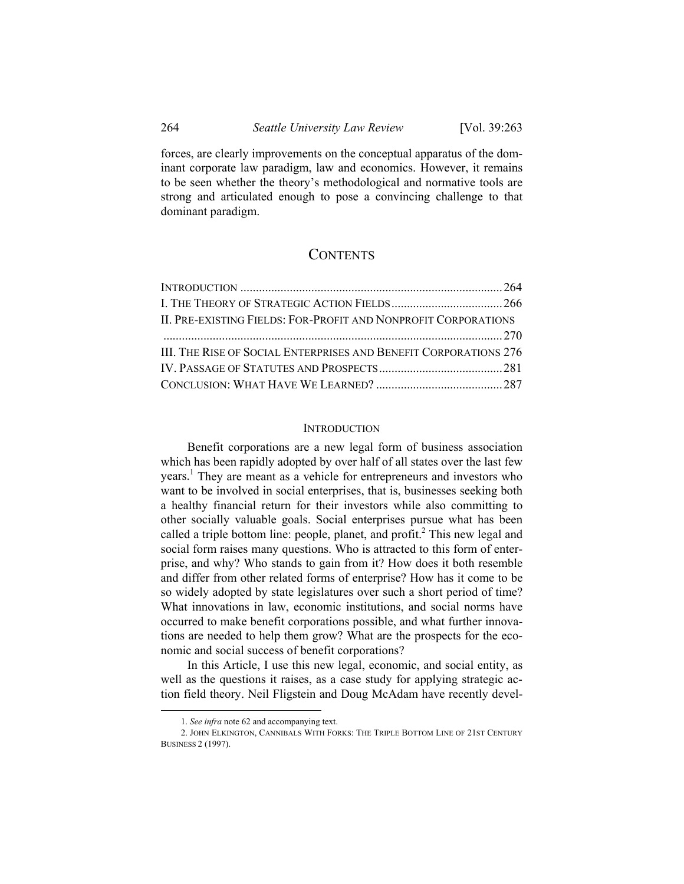forces, are clearly improvements on the conceptual apparatus of the dominant corporate law paradigm, law and economics. However, it remains to be seen whether the theory's methodological and normative tools are strong and articulated enough to pose a convincing challenge to that dominant paradigm.

## **CONTENTS**

| II. PRE-EXISTING FIELDS: FOR-PROFIT AND NONPROFIT CORPORATIONS   |  |
|------------------------------------------------------------------|--|
|                                                                  |  |
| III. THE RISE OF SOCIAL ENTERPRISES AND BENEFIT CORPORATIONS 276 |  |
|                                                                  |  |
|                                                                  |  |

### **INTRODUCTION**

Benefit corporations are a new legal form of business association which has been rapidly adopted by over half of all states over the last few years.<sup>1</sup> They are meant as a vehicle for entrepreneurs and investors who want to be involved in social enterprises, that is, businesses seeking both a healthy financial return for their investors while also committing to other socially valuable goals. Social enterprises pursue what has been called a triple bottom line: people, planet, and profit.<sup>2</sup> This new legal and social form raises many questions. Who is attracted to this form of enterprise, and why? Who stands to gain from it? How does it both resemble and differ from other related forms of enterprise? How has it come to be so widely adopted by state legislatures over such a short period of time? What innovations in law, economic institutions, and social norms have occurred to make benefit corporations possible, and what further innovations are needed to help them grow? What are the prospects for the economic and social success of benefit corporations?

In this Article, I use this new legal, economic, and social entity, as well as the questions it raises, as a case study for applying strategic action field theory. Neil Fligstein and Doug McAdam have recently devel-

 <sup>1.</sup> *See infra* note 62 and accompanying text.

 <sup>2.</sup> JOHN ELKINGTON, CANNIBALS WITH FORKS: THE TRIPLE BOTTOM LINE OF 21ST CENTURY BUSINESS 2 (1997).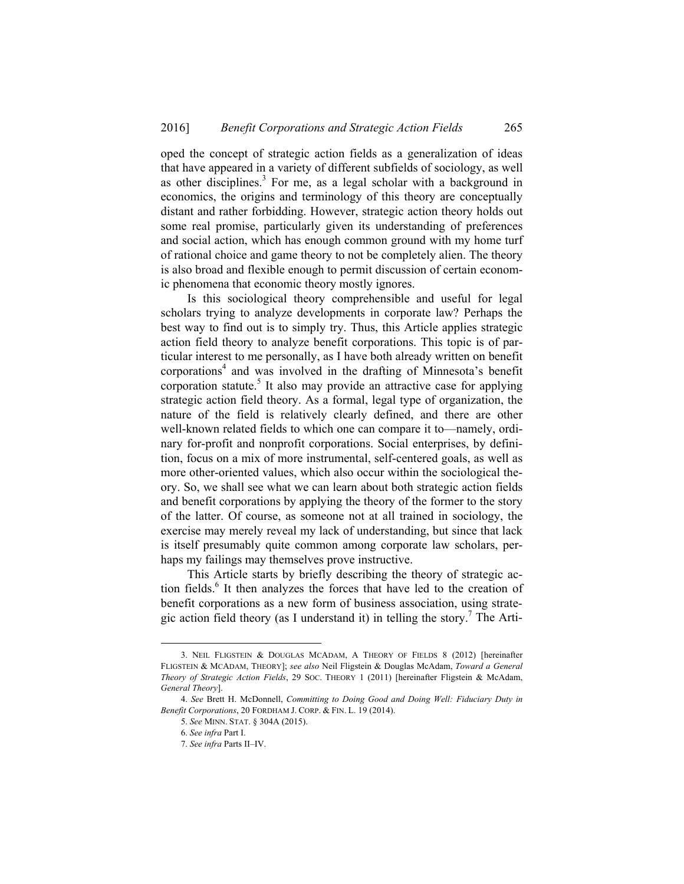oped the concept of strategic action fields as a generalization of ideas that have appeared in a variety of different subfields of sociology, as well as other disciplines. $3$  For me, as a legal scholar with a background in economics, the origins and terminology of this theory are conceptually distant and rather forbidding. However, strategic action theory holds out some real promise, particularly given its understanding of preferences and social action, which has enough common ground with my home turf of rational choice and game theory to not be completely alien. The theory is also broad and flexible enough to permit discussion of certain economic phenomena that economic theory mostly ignores.

Is this sociological theory comprehensible and useful for legal scholars trying to analyze developments in corporate law? Perhaps the best way to find out is to simply try. Thus, this Article applies strategic action field theory to analyze benefit corporations. This topic is of particular interest to me personally, as I have both already written on benefit corporations<sup>4</sup> and was involved in the drafting of Minnesota's benefit corporation statute.<sup>5</sup> It also may provide an attractive case for applying strategic action field theory. As a formal, legal type of organization, the nature of the field is relatively clearly defined, and there are other well-known related fields to which one can compare it to—namely, ordinary for-profit and nonprofit corporations. Social enterprises, by definition, focus on a mix of more instrumental, self-centered goals, as well as more other-oriented values, which also occur within the sociological theory. So, we shall see what we can learn about both strategic action fields and benefit corporations by applying the theory of the former to the story of the latter. Of course, as someone not at all trained in sociology, the exercise may merely reveal my lack of understanding, but since that lack is itself presumably quite common among corporate law scholars, perhaps my failings may themselves prove instructive.

This Article starts by briefly describing the theory of strategic action fields.<sup>6</sup> It then analyzes the forces that have led to the creation of benefit corporations as a new form of business association, using strategic action field theory (as I understand it) in telling the story.<sup>7</sup> The Arti-

 $\overline{a}$ 

 <sup>3.</sup> NEIL FLIGSTEIN & DOUGLAS MCADAM, A THEORY OF FIELDS 8 (2012) [hereinafter FLIGSTEIN & MCADAM, THEORY]; *see also* Neil Fligstein & Douglas McAdam, *Toward a General Theory of Strategic Action Fields*, 29 SOC. THEORY 1 (2011) [hereinafter Fligstein & McAdam, *General Theory*].

<sup>4.</sup> *See* Brett H. McDonnell, *Committing to Doing Good and Doing Well: Fiduciary Duty in Benefit Corporations*, 20 FORDHAM J. CORP. & FIN. L. 19 (2014).

<sup>5.</sup> *See* MINN. STAT. § 304A (2015).

<sup>6.</sup> *See infra* Part I.

<sup>7.</sup> *See infra* Parts II–IV.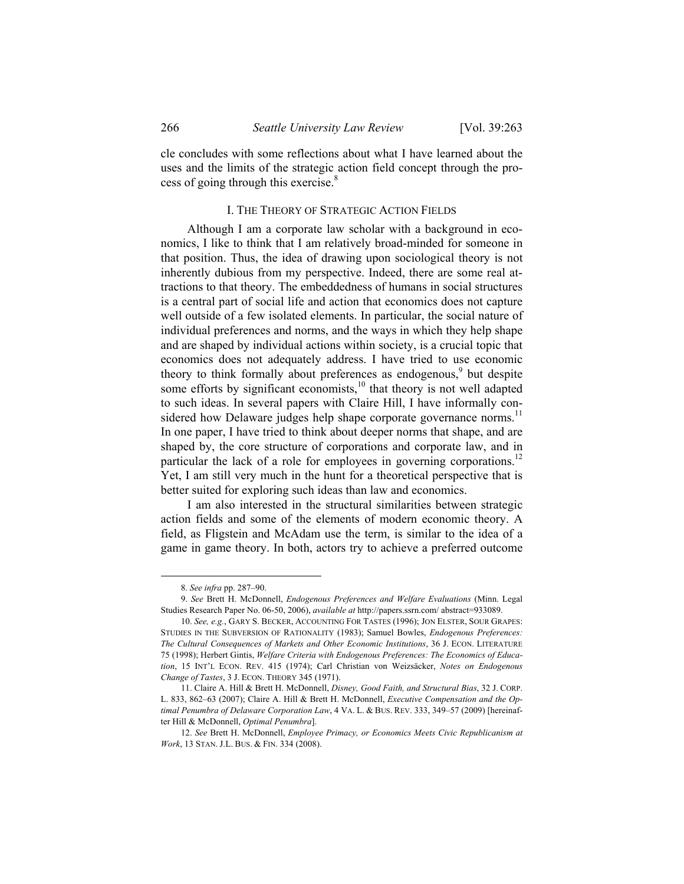cle concludes with some reflections about what I have learned about the uses and the limits of the strategic action field concept through the process of going through this exercise.<sup>8</sup>

## I. THE THEORY OF STRATEGIC ACTION FIELDS

Although I am a corporate law scholar with a background in economics, I like to think that I am relatively broad-minded for someone in that position. Thus, the idea of drawing upon sociological theory is not inherently dubious from my perspective. Indeed, there are some real attractions to that theory. The embeddedness of humans in social structures is a central part of social life and action that economics does not capture well outside of a few isolated elements. In particular, the social nature of individual preferences and norms, and the ways in which they help shape and are shaped by individual actions within society, is a crucial topic that economics does not adequately address. I have tried to use economic theory to think formally about preferences as endogenous,<sup>9</sup> but despite some efforts by significant economists, $10$  that theory is not well adapted to such ideas. In several papers with Claire Hill, I have informally considered how Delaware judges help shape corporate governance norms.<sup>11</sup> In one paper, I have tried to think about deeper norms that shape, and are shaped by, the core structure of corporations and corporate law, and in particular the lack of a role for employees in governing corporations.<sup>12</sup> Yet, I am still very much in the hunt for a theoretical perspective that is better suited for exploring such ideas than law and economics.

I am also interested in the structural similarities between strategic action fields and some of the elements of modern economic theory. A field, as Fligstein and McAdam use the term, is similar to the idea of a game in game theory. In both, actors try to achieve a preferred outcome

 <sup>8.</sup> *See infra* pp. 287–90.

<sup>9.</sup> *See* Brett H. McDonnell, *Endogenous Preferences and Welfare Evaluations* (Minn. Legal Studies Research Paper No. 06-50, 2006), *available at* http://papers.ssrn.com/ abstract=933089.

<sup>10.</sup> *See, e.g.*, GARY S. BECKER, ACCOUNTING FOR TASTES (1996); JON ELSTER, SOUR GRAPES: STUDIES IN THE SUBVERSION OF RATIONALITY (1983); Samuel Bowles, *Endogenous Preferences: The Cultural Consequences of Markets and Other Economic Institutions*, 36 J. ECON. LITERATURE 75 (1998); Herbert Gintis, *Welfare Criteria with Endogenous Preferences: The Economics of Education*, 15 INT'L ECON. REV. 415 (1974); Carl Christian von Weizsäcker, *Notes on Endogenous Change of Tastes*, 3 J. ECON. THEORY 345 (1971).

 <sup>11.</sup> Claire A. Hill & Brett H. McDonnell, *Disney, Good Faith, and Structural Bias*, 32 J. CORP. L. 833, 862–63 (2007); Claire A. Hill & Brett H. McDonnell, *Executive Compensation and the Optimal Penumbra of Delaware Corporation Law*, 4 VA. L. & BUS. REV. 333, 349–57 (2009) [hereinafter Hill & McDonnell, *Optimal Penumbra*].

<sup>12.</sup> *See* Brett H. McDonnell, *Employee Primacy, or Economics Meets Civic Republicanism at Work*, 13 STAN. J.L. BUS. & FIN. 334 (2008).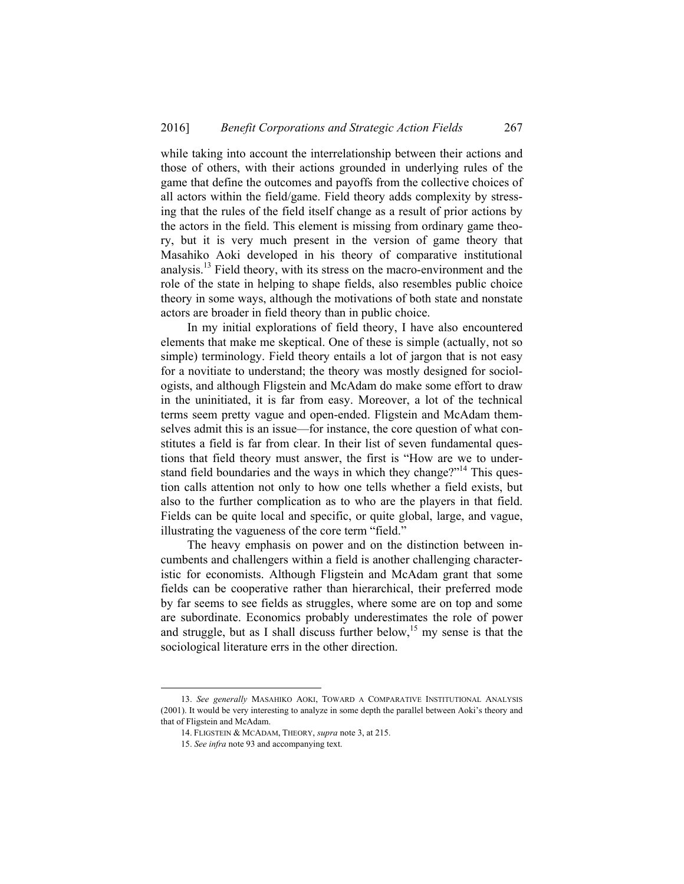while taking into account the interrelationship between their actions and those of others, with their actions grounded in underlying rules of the game that define the outcomes and payoffs from the collective choices of all actors within the field/game. Field theory adds complexity by stressing that the rules of the field itself change as a result of prior actions by the actors in the field. This element is missing from ordinary game theory, but it is very much present in the version of game theory that Masahiko Aoki developed in his theory of comparative institutional analysis.<sup>13</sup> Field theory, with its stress on the macro-environment and the role of the state in helping to shape fields, also resembles public choice theory in some ways, although the motivations of both state and nonstate actors are broader in field theory than in public choice.

In my initial explorations of field theory, I have also encountered elements that make me skeptical. One of these is simple (actually, not so simple) terminology. Field theory entails a lot of jargon that is not easy for a novitiate to understand; the theory was mostly designed for sociologists, and although Fligstein and McAdam do make some effort to draw in the uninitiated, it is far from easy. Moreover, a lot of the technical terms seem pretty vague and open-ended. Fligstein and McAdam themselves admit this is an issue—for instance, the core question of what constitutes a field is far from clear. In their list of seven fundamental questions that field theory must answer, the first is "How are we to understand field boundaries and the ways in which they change?"<sup>14</sup> This question calls attention not only to how one tells whether a field exists, but also to the further complication as to who are the players in that field. Fields can be quite local and specific, or quite global, large, and vague, illustrating the vagueness of the core term "field."

The heavy emphasis on power and on the distinction between incumbents and challengers within a field is another challenging characteristic for economists. Although Fligstein and McAdam grant that some fields can be cooperative rather than hierarchical, their preferred mode by far seems to see fields as struggles, where some are on top and some are subordinate. Economics probably underestimates the role of power and struggle, but as I shall discuss further below,<sup>15</sup> my sense is that the sociological literature errs in the other direction.

 <sup>13.</sup> *See generally* MASAHIKO AOKI, TOWARD A COMPARATIVE INSTITUTIONAL ANALYSIS (2001). It would be very interesting to analyze in some depth the parallel between Aoki's theory and that of Fligstein and McAdam.

 <sup>14.</sup> FLIGSTEIN & MCADAM, THEORY, *supra* note 3, at 215.

<sup>15.</sup> *See infra* note 93 and accompanying text.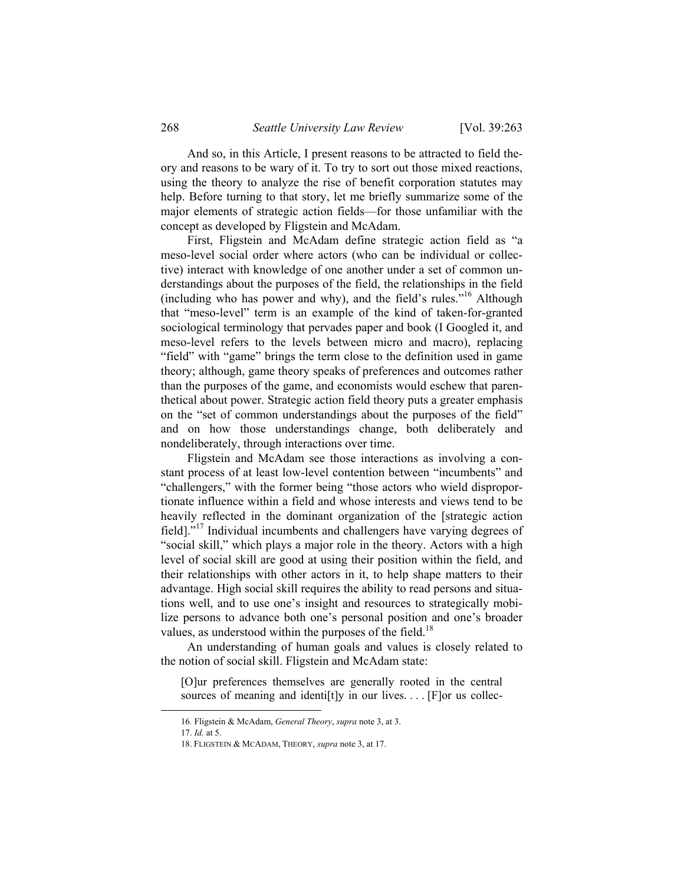And so, in this Article, I present reasons to be attracted to field theory and reasons to be wary of it. To try to sort out those mixed reactions, using the theory to analyze the rise of benefit corporation statutes may help. Before turning to that story, let me briefly summarize some of the major elements of strategic action fields—for those unfamiliar with the concept as developed by Fligstein and McAdam.

First, Fligstein and McAdam define strategic action field as "a meso-level social order where actors (who can be individual or collective) interact with knowledge of one another under a set of common understandings about the purposes of the field, the relationships in the field (including who has power and why), and the field's rules."<sup>16</sup> Although that "meso-level" term is an example of the kind of taken-for-granted sociological terminology that pervades paper and book (I Googled it, and meso-level refers to the levels between micro and macro), replacing "field" with "game" brings the term close to the definition used in game theory; although, game theory speaks of preferences and outcomes rather than the purposes of the game, and economists would eschew that parenthetical about power. Strategic action field theory puts a greater emphasis on the "set of common understandings about the purposes of the field" and on how those understandings change, both deliberately and nondeliberately, through interactions over time.

Fligstein and McAdam see those interactions as involving a constant process of at least low-level contention between "incumbents" and "challengers," with the former being "those actors who wield disproportionate influence within a field and whose interests and views tend to be heavily reflected in the dominant organization of the [strategic action field]."17 Individual incumbents and challengers have varying degrees of "social skill," which plays a major role in the theory. Actors with a high level of social skill are good at using their position within the field, and their relationships with other actors in it, to help shape matters to their advantage. High social skill requires the ability to read persons and situations well, and to use one's insight and resources to strategically mobilize persons to advance both one's personal position and one's broader values, as understood within the purposes of the field.<sup>18</sup>

An understanding of human goals and values is closely related to the notion of social skill. Fligstein and McAdam state:

[O]ur preferences themselves are generally rooted in the central sources of meaning and identiftly in our lives.... [F]or us collec-

 <sup>16</sup>*.* Fligstein & McAdam, *General Theory*, *supra* note 3, at 3.

<sup>17.</sup> *Id.* at 5.

 <sup>18.</sup> FLIGSTEIN & MCADAM, THEORY, *supra* note 3, at 17.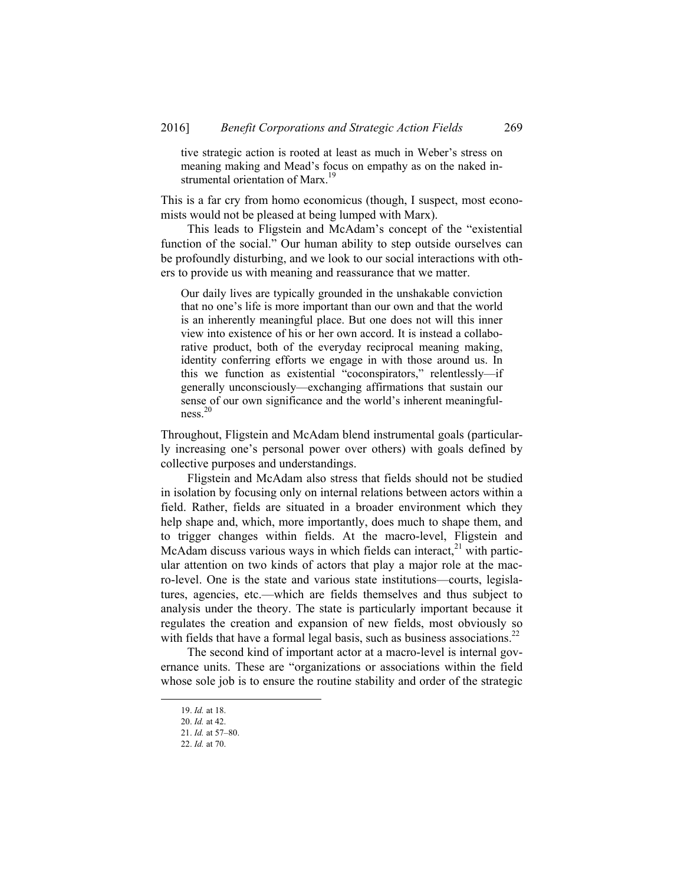tive strategic action is rooted at least as much in Weber's stress on meaning making and Mead's focus on empathy as on the naked instrumental orientation of Marx.<sup>19</sup>

This is a far cry from homo economicus (though, I suspect, most economists would not be pleased at being lumped with Marx).

This leads to Fligstein and McAdam's concept of the "existential function of the social." Our human ability to step outside ourselves can be profoundly disturbing, and we look to our social interactions with others to provide us with meaning and reassurance that we matter.

Our daily lives are typically grounded in the unshakable conviction that no one's life is more important than our own and that the world is an inherently meaningful place. But one does not will this inner view into existence of his or her own accord. It is instead a collaborative product, both of the everyday reciprocal meaning making, identity conferring efforts we engage in with those around us. In this we function as existential "coconspirators," relentlessly—if generally unconsciously—exchanging affirmations that sustain our sense of our own significance and the world's inherent meaningfulness. 20

Throughout, Fligstein and McAdam blend instrumental goals (particularly increasing one's personal power over others) with goals defined by collective purposes and understandings.

Fligstein and McAdam also stress that fields should not be studied in isolation by focusing only on internal relations between actors within a field. Rather, fields are situated in a broader environment which they help shape and, which, more importantly, does much to shape them, and to trigger changes within fields. At the macro-level, Fligstein and McAdam discuss various ways in which fields can interact, $^{21}$  with particular attention on two kinds of actors that play a major role at the macro-level. One is the state and various state institutions—courts, legislatures, agencies, etc.—which are fields themselves and thus subject to analysis under the theory. The state is particularly important because it regulates the creation and expansion of new fields, most obviously so with fields that have a formal legal basis, such as business associations.<sup>22</sup>

The second kind of important actor at a macro-level is internal governance units. These are "organizations or associations within the field whose sole job is to ensure the routine stability and order of the strategic

 <sup>19.</sup> *Id.* at 18.

<sup>20.</sup> *Id.* at 42.

<sup>21.</sup> *Id.* at 57–80.

<sup>22.</sup> *Id.* at 70.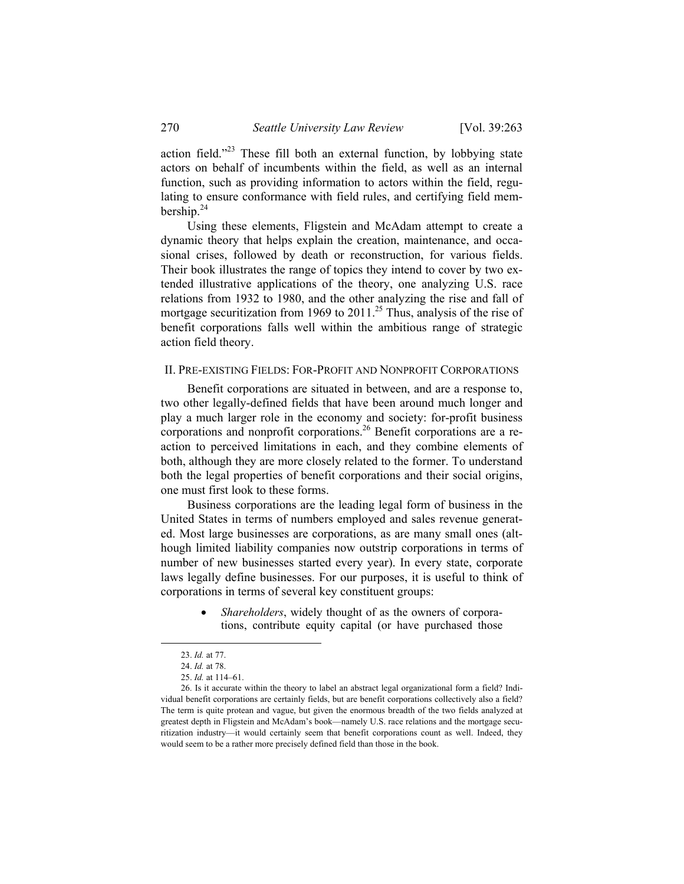action field."23 These fill both an external function, by lobbying state actors on behalf of incumbents within the field, as well as an internal function, such as providing information to actors within the field, regulating to ensure conformance with field rules, and certifying field membership. $^{24}$ 

Using these elements, Fligstein and McAdam attempt to create a dynamic theory that helps explain the creation, maintenance, and occasional crises, followed by death or reconstruction, for various fields. Their book illustrates the range of topics they intend to cover by two extended illustrative applications of the theory, one analyzing U.S. race relations from 1932 to 1980, and the other analyzing the rise and fall of mortgage securitization from 1969 to  $2011$ .<sup>25</sup> Thus, analysis of the rise of benefit corporations falls well within the ambitious range of strategic action field theory.

#### II. PRE-EXISTING FIELDS: FOR-PROFIT AND NONPROFIT CORPORATIONS

Benefit corporations are situated in between, and are a response to, two other legally-defined fields that have been around much longer and play a much larger role in the economy and society: for-profit business corporations and nonprofit corporations.<sup>26</sup> Benefit corporations are a reaction to perceived limitations in each, and they combine elements of both, although they are more closely related to the former. To understand both the legal properties of benefit corporations and their social origins, one must first look to these forms.

Business corporations are the leading legal form of business in the United States in terms of numbers employed and sales revenue generated. Most large businesses are corporations, as are many small ones (although limited liability companies now outstrip corporations in terms of number of new businesses started every year). In every state, corporate laws legally define businesses. For our purposes, it is useful to think of corporations in terms of several key constituent groups:

> *Shareholders*, widely thought of as the owners of corporations, contribute equity capital (or have purchased those

 <sup>23.</sup> *Id.* at 77.

<sup>24.</sup> *Id.* at 78.

<sup>25.</sup> *Id.* at 114–61.

 <sup>26.</sup> Is it accurate within the theory to label an abstract legal organizational form a field? Individual benefit corporations are certainly fields, but are benefit corporations collectively also a field? The term is quite protean and vague, but given the enormous breadth of the two fields analyzed at greatest depth in Fligstein and McAdam's book—namely U.S. race relations and the mortgage securitization industry—it would certainly seem that benefit corporations count as well. Indeed, they would seem to be a rather more precisely defined field than those in the book.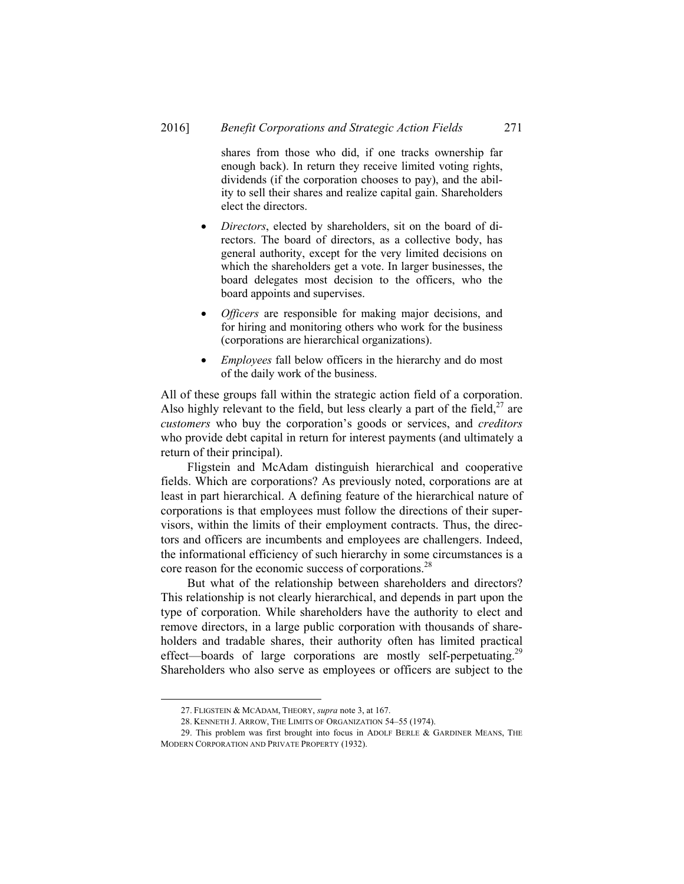shares from those who did, if one tracks ownership far enough back). In return they receive limited voting rights, dividends (if the corporation chooses to pay), and the ability to sell their shares and realize capital gain. Shareholders elect the directors.

- *Directors*, elected by shareholders, sit on the board of directors. The board of directors, as a collective body, has general authority, except for the very limited decisions on which the shareholders get a vote. In larger businesses, the board delegates most decision to the officers, who the board appoints and supervises.
- *Officers* are responsible for making major decisions, and for hiring and monitoring others who work for the business (corporations are hierarchical organizations).
- *Employees* fall below officers in the hierarchy and do most of the daily work of the business.

All of these groups fall within the strategic action field of a corporation. Also highly relevant to the field, but less clearly a part of the field,  $27$  are *customers* who buy the corporation's goods or services, and *creditors* who provide debt capital in return for interest payments (and ultimately a return of their principal).

Fligstein and McAdam distinguish hierarchical and cooperative fields. Which are corporations? As previously noted, corporations are at least in part hierarchical. A defining feature of the hierarchical nature of corporations is that employees must follow the directions of their supervisors, within the limits of their employment contracts. Thus, the directors and officers are incumbents and employees are challengers. Indeed, the informational efficiency of such hierarchy in some circumstances is a core reason for the economic success of corporations.<sup>28</sup>

But what of the relationship between shareholders and directors? This relationship is not clearly hierarchical, and depends in part upon the type of corporation. While shareholders have the authority to elect and remove directors, in a large public corporation with thousands of shareholders and tradable shares, their authority often has limited practical effect—boards of large corporations are mostly self-perpetuating.<sup>29</sup> Shareholders who also serve as employees or officers are subject to the

 <sup>27.</sup> FLIGSTEIN & MCADAM, THEORY, *supra* note 3, at 167.

 <sup>28.</sup> KENNETH J. ARROW, THE LIMITS OF ORGANIZATION 54–55 (1974).

 <sup>29.</sup> This problem was first brought into focus in ADOLF BERLE & GARDINER MEANS, THE MODERN CORPORATION AND PRIVATE PROPERTY (1932).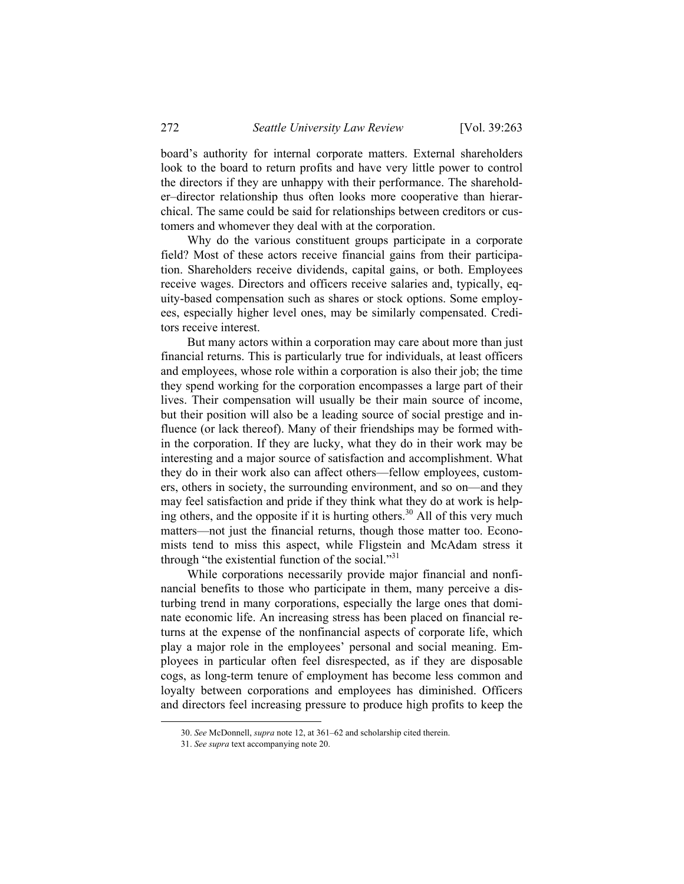board's authority for internal corporate matters. External shareholders look to the board to return profits and have very little power to control the directors if they are unhappy with their performance. The shareholder–director relationship thus often looks more cooperative than hierarchical. The same could be said for relationships between creditors or customers and whomever they deal with at the corporation.

Why do the various constituent groups participate in a corporate field? Most of these actors receive financial gains from their participation. Shareholders receive dividends, capital gains, or both. Employees receive wages. Directors and officers receive salaries and, typically, equity-based compensation such as shares or stock options. Some employees, especially higher level ones, may be similarly compensated. Creditors receive interest.

But many actors within a corporation may care about more than just financial returns. This is particularly true for individuals, at least officers and employees, whose role within a corporation is also their job; the time they spend working for the corporation encompasses a large part of their lives. Their compensation will usually be their main source of income, but their position will also be a leading source of social prestige and influence (or lack thereof). Many of their friendships may be formed within the corporation. If they are lucky, what they do in their work may be interesting and a major source of satisfaction and accomplishment. What they do in their work also can affect others—fellow employees, customers, others in society, the surrounding environment, and so on—and they may feel satisfaction and pride if they think what they do at work is helping others, and the opposite if it is hurting others.<sup>30</sup> All of this very much matters—not just the financial returns, though those matter too. Economists tend to miss this aspect, while Fligstein and McAdam stress it through "the existential function of the social."<sup>31</sup>

While corporations necessarily provide major financial and nonfinancial benefits to those who participate in them, many perceive a disturbing trend in many corporations, especially the large ones that dominate economic life. An increasing stress has been placed on financial returns at the expense of the nonfinancial aspects of corporate life, which play a major role in the employees' personal and social meaning. Employees in particular often feel disrespected, as if they are disposable cogs, as long-term tenure of employment has become less common and loyalty between corporations and employees has diminished. Officers and directors feel increasing pressure to produce high profits to keep the

 <sup>30.</sup> *See* McDonnell, *supra* note 12, at 361–62 and scholarship cited therein.

<sup>31.</sup> *See supra* text accompanying note 20.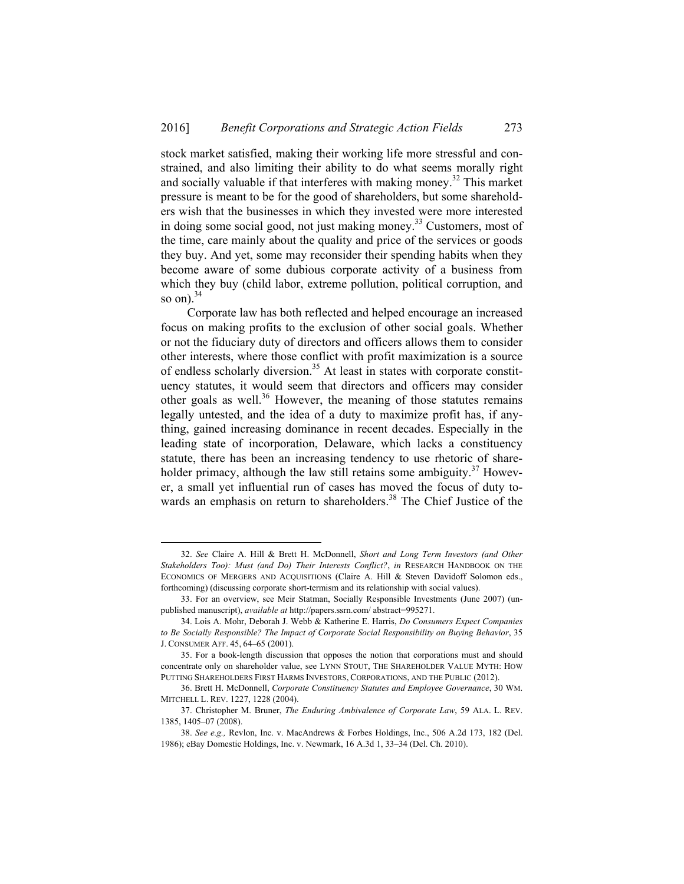stock market satisfied, making their working life more stressful and constrained, and also limiting their ability to do what seems morally right and socially valuable if that interferes with making money.<sup>32</sup> This market pressure is meant to be for the good of shareholders, but some shareholders wish that the businesses in which they invested were more interested in doing some social good, not just making money.<sup>33</sup> Customers, most of the time, care mainly about the quality and price of the services or goods they buy. And yet, some may reconsider their spending habits when they become aware of some dubious corporate activity of a business from which they buy (child labor, extreme pollution, political corruption, and so on). $34$ 

Corporate law has both reflected and helped encourage an increased focus on making profits to the exclusion of other social goals. Whether or not the fiduciary duty of directors and officers allows them to consider other interests, where those conflict with profit maximization is a source of endless scholarly diversion.<sup>35</sup> At least in states with corporate constituency statutes, it would seem that directors and officers may consider other goals as well. $36$  However, the meaning of those statutes remains legally untested, and the idea of a duty to maximize profit has, if anything, gained increasing dominance in recent decades. Especially in the leading state of incorporation, Delaware, which lacks a constituency statute, there has been an increasing tendency to use rhetoric of shareholder primacy, although the law still retains some ambiguity.<sup>37</sup> However, a small yet influential run of cases has moved the focus of duty towards an emphasis on return to shareholders.<sup>38</sup> The Chief Justice of the

 <sup>32.</sup> *See* Claire A. Hill & Brett H. McDonnell, *Short and Long Term Investors (and Other Stakeholders Too): Must (and Do) Their Interests Conflict?*, *in* RESEARCH HANDBOOK ON THE ECONOMICS OF MERGERS AND ACQUISITIONS (Claire A. Hill & Steven Davidoff Solomon eds., forthcoming) (discussing corporate short-termism and its relationship with social values).

 <sup>33.</sup> For an overview, see Meir Statman, Socially Responsible Investments (June 2007) (unpublished manuscript), *available at* http://papers.ssrn.com/ abstract=995271.

 <sup>34.</sup> Lois A. Mohr, Deborah J. Webb & Katherine E. Harris, *Do Consumers Expect Companies to Be Socially Responsible? The Impact of Corporate Social Responsibility on Buying Behavior*, 35 J. CONSUMER AFF. 45, 64–65 (2001).

 <sup>35.</sup> For a book-length discussion that opposes the notion that corporations must and should concentrate only on shareholder value, see LYNN STOUT, THE SHAREHOLDER VALUE MYTH: HOW PUTTING SHAREHOLDERS FIRST HARMS INVESTORS, CORPORATIONS, AND THE PUBLIC (2012).

 <sup>36.</sup> Brett H. McDonnell, *Corporate Constituency Statutes and Employee Governance*, 30 WM. MITCHELL L. REV. 1227, 1228 (2004).

 <sup>37.</sup> Christopher M. Bruner, *The Enduring Ambivalence of Corporate Law*, 59 ALA. L. REV. 1385, 1405–07 (2008).

<sup>38.</sup> *See e.g.,* Revlon, Inc. v. MacAndrews & Forbes Holdings, Inc., 506 A.2d 173, 182 (Del. 1986); eBay Domestic Holdings, Inc. v. Newmark, 16 A.3d 1, 33–34 (Del. Ch. 2010).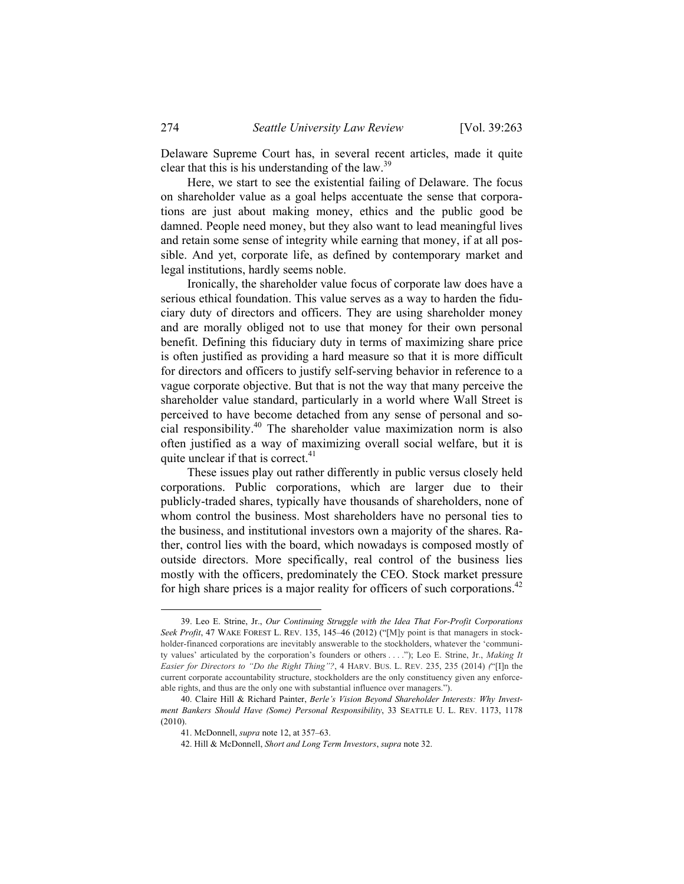Delaware Supreme Court has, in several recent articles, made it quite clear that this is his understanding of the law.<sup>39</sup>

Here, we start to see the existential failing of Delaware. The focus on shareholder value as a goal helps accentuate the sense that corporations are just about making money, ethics and the public good be damned. People need money, but they also want to lead meaningful lives and retain some sense of integrity while earning that money, if at all possible. And yet, corporate life, as defined by contemporary market and legal institutions, hardly seems noble.

Ironically, the shareholder value focus of corporate law does have a serious ethical foundation. This value serves as a way to harden the fiduciary duty of directors and officers. They are using shareholder money and are morally obliged not to use that money for their own personal benefit. Defining this fiduciary duty in terms of maximizing share price is often justified as providing a hard measure so that it is more difficult for directors and officers to justify self-serving behavior in reference to a vague corporate objective. But that is not the way that many perceive the shareholder value standard, particularly in a world where Wall Street is perceived to have become detached from any sense of personal and social responsibility.40 The shareholder value maximization norm is also often justified as a way of maximizing overall social welfare, but it is quite unclear if that is correct.<sup>41</sup>

These issues play out rather differently in public versus closely held corporations. Public corporations, which are larger due to their publicly-traded shares, typically have thousands of shareholders, none of whom control the business. Most shareholders have no personal ties to the business, and institutional investors own a majority of the shares. Rather, control lies with the board, which nowadays is composed mostly of outside directors. More specifically, real control of the business lies mostly with the officers, predominately the CEO. Stock market pressure for high share prices is a major reality for officers of such corporations.<sup>42</sup>

-

 <sup>39.</sup> Leo E. Strine, Jr., *Our Continuing Struggle with the Idea That For-Profit Corporations Seek Profit*, 47 WAKE FOREST L. REV. 135, 145-46 (2012) ("[M]y point is that managers in stockholder-financed corporations are inevitably answerable to the stockholders, whatever the 'community values' articulated by the corporation's founders or others . . . ."); Leo E. Strine, Jr., *Making It Easier for Directors to "Do the Right Thing"?*, 4 HARV. BUS. L. REV. 235, 235 (2014) *(*"[I]n the current corporate accountability structure, stockholders are the only constituency given any enforceable rights, and thus are the only one with substantial influence over managers.").

 <sup>40.</sup> Claire Hill & Richard Painter, *Berle's Vision Beyond Shareholder Interests: Why Investment Bankers Should Have (Some) Personal Responsibility*, 33 SEATTLE U. L. REV. 1173, 1178 (2010).

 <sup>41.</sup> McDonnell, *supra* note 12, at 357–63.

 <sup>42.</sup> Hill & McDonnell, *Short and Long Term Investors*, *supra* note 32.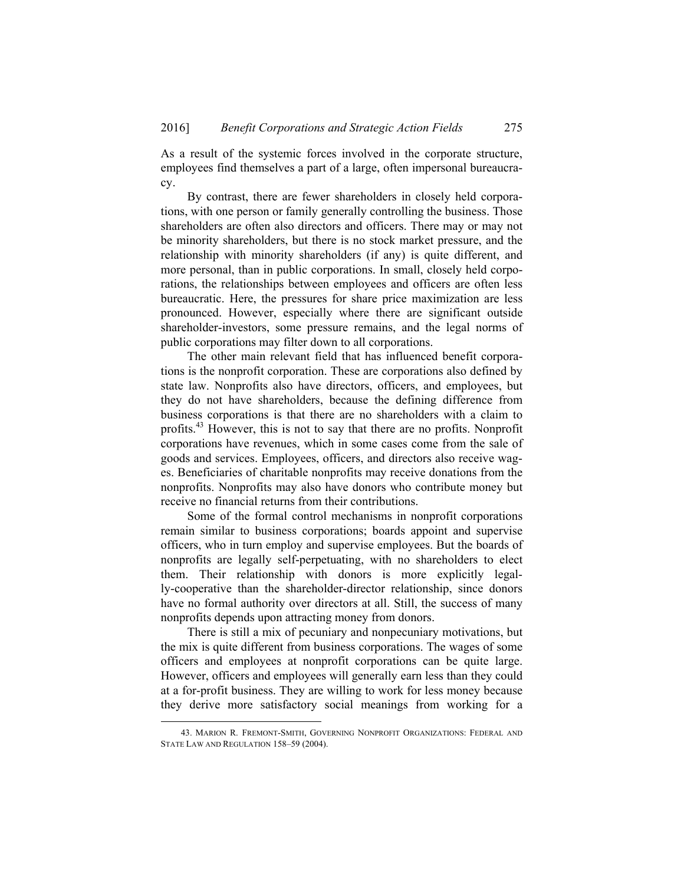As a result of the systemic forces involved in the corporate structure, employees find themselves a part of a large, often impersonal bureaucracy.

By contrast, there are fewer shareholders in closely held corporations, with one person or family generally controlling the business. Those shareholders are often also directors and officers. There may or may not be minority shareholders, but there is no stock market pressure, and the relationship with minority shareholders (if any) is quite different, and more personal, than in public corporations. In small, closely held corporations, the relationships between employees and officers are often less bureaucratic. Here, the pressures for share price maximization are less pronounced. However, especially where there are significant outside shareholder-investors, some pressure remains, and the legal norms of public corporations may filter down to all corporations.

The other main relevant field that has influenced benefit corporations is the nonprofit corporation. These are corporations also defined by state law. Nonprofits also have directors, officers, and employees, but they do not have shareholders, because the defining difference from business corporations is that there are no shareholders with a claim to profits.43 However, this is not to say that there are no profits. Nonprofit corporations have revenues, which in some cases come from the sale of goods and services. Employees, officers, and directors also receive wages. Beneficiaries of charitable nonprofits may receive donations from the nonprofits. Nonprofits may also have donors who contribute money but receive no financial returns from their contributions.

Some of the formal control mechanisms in nonprofit corporations remain similar to business corporations; boards appoint and supervise officers, who in turn employ and supervise employees. But the boards of nonprofits are legally self-perpetuating, with no shareholders to elect them. Their relationship with donors is more explicitly legally-cooperative than the shareholder-director relationship, since donors have no formal authority over directors at all. Still, the success of many nonprofits depends upon attracting money from donors.

There is still a mix of pecuniary and nonpecuniary motivations, but the mix is quite different from business corporations. The wages of some officers and employees at nonprofit corporations can be quite large. However, officers and employees will generally earn less than they could at a for-profit business. They are willing to work for less money because they derive more satisfactory social meanings from working for a

 <sup>43.</sup> MARION R. FREMONT-SMITH, GOVERNING NONPROFIT ORGANIZATIONS: FEDERAL AND STATE LAW AND REGULATION 158–59 (2004).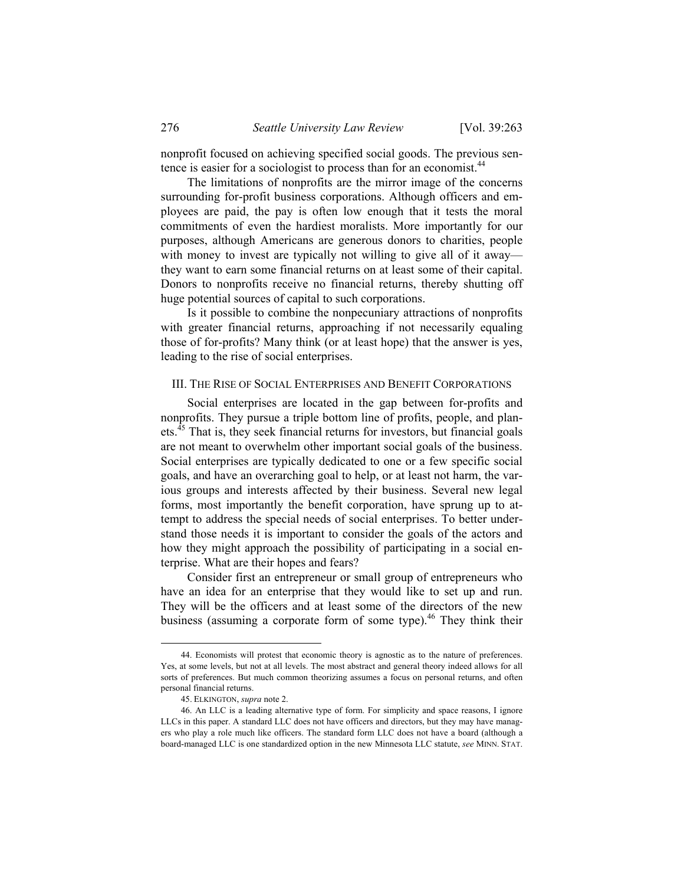nonprofit focused on achieving specified social goods. The previous sentence is easier for a sociologist to process than for an economist.<sup>44</sup>

The limitations of nonprofits are the mirror image of the concerns surrounding for-profit business corporations. Although officers and employees are paid, the pay is often low enough that it tests the moral commitments of even the hardiest moralists. More importantly for our purposes, although Americans are generous donors to charities, people with money to invest are typically not willing to give all of it away they want to earn some financial returns on at least some of their capital. Donors to nonprofits receive no financial returns, thereby shutting off huge potential sources of capital to such corporations.

Is it possible to combine the nonpecuniary attractions of nonprofits with greater financial returns, approaching if not necessarily equaling those of for-profits? Many think (or at least hope) that the answer is yes, leading to the rise of social enterprises.

## III. THE RISE OF SOCIAL ENTERPRISES AND BENEFIT CORPORATIONS

Social enterprises are located in the gap between for-profits and nonprofits. They pursue a triple bottom line of profits, people, and planets.45 That is, they seek financial returns for investors, but financial goals are not meant to overwhelm other important social goals of the business. Social enterprises are typically dedicated to one or a few specific social goals, and have an overarching goal to help, or at least not harm, the various groups and interests affected by their business. Several new legal forms, most importantly the benefit corporation, have sprung up to attempt to address the special needs of social enterprises. To better understand those needs it is important to consider the goals of the actors and how they might approach the possibility of participating in a social enterprise. What are their hopes and fears?

Consider first an entrepreneur or small group of entrepreneurs who have an idea for an enterprise that they would like to set up and run. They will be the officers and at least some of the directors of the new business (assuming a corporate form of some type).<sup>46</sup> They think their

-

 <sup>44.</sup> Economists will protest that economic theory is agnostic as to the nature of preferences. Yes, at some levels, but not at all levels. The most abstract and general theory indeed allows for all sorts of preferences. But much common theorizing assumes a focus on personal returns, and often personal financial returns.

 <sup>45.</sup> ELKINGTON, *supra* note 2.

 <sup>46.</sup> An LLC is a leading alternative type of form. For simplicity and space reasons, I ignore LLCs in this paper. A standard LLC does not have officers and directors, but they may have managers who play a role much like officers. The standard form LLC does not have a board (although a board-managed LLC is one standardized option in the new Minnesota LLC statute, *see* MINN. STAT.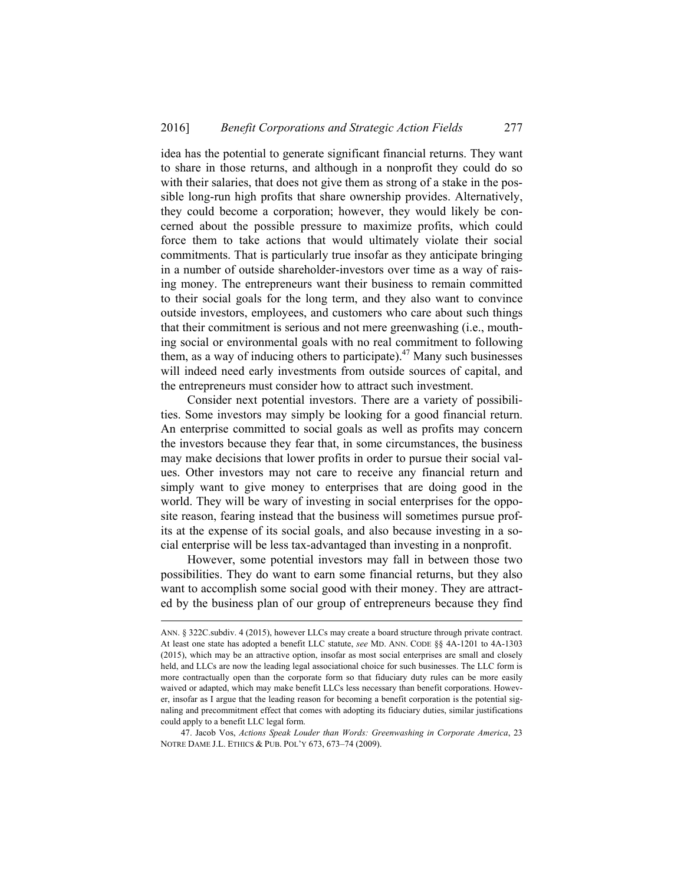idea has the potential to generate significant financial returns. They want to share in those returns, and although in a nonprofit they could do so with their salaries, that does not give them as strong of a stake in the possible long-run high profits that share ownership provides. Alternatively, they could become a corporation; however, they would likely be concerned about the possible pressure to maximize profits, which could force them to take actions that would ultimately violate their social commitments. That is particularly true insofar as they anticipate bringing in a number of outside shareholder-investors over time as a way of raising money. The entrepreneurs want their business to remain committed to their social goals for the long term, and they also want to convince outside investors, employees, and customers who care about such things that their commitment is serious and not mere greenwashing (i.e., mouthing social or environmental goals with no real commitment to following them, as a way of inducing others to participate).<sup>47</sup> Many such businesses will indeed need early investments from outside sources of capital, and the entrepreneurs must consider how to attract such investment.

Consider next potential investors. There are a variety of possibilities. Some investors may simply be looking for a good financial return. An enterprise committed to social goals as well as profits may concern the investors because they fear that, in some circumstances, the business may make decisions that lower profits in order to pursue their social values. Other investors may not care to receive any financial return and simply want to give money to enterprises that are doing good in the world. They will be wary of investing in social enterprises for the opposite reason, fearing instead that the business will sometimes pursue profits at the expense of its social goals, and also because investing in a social enterprise will be less tax-advantaged than investing in a nonprofit.

However, some potential investors may fall in between those two possibilities. They do want to earn some financial returns, but they also want to accomplish some social good with their money. They are attracted by the business plan of our group of entrepreneurs because they find

l

ANN. § 322C.subdiv. 4 (2015), however LLCs may create a board structure through private contract. At least one state has adopted a benefit LLC statute, *see* MD. ANN. CODE §§ 4A-1201 to 4A-1303 (2015), which may be an attractive option, insofar as most social enterprises are small and closely held, and LLCs are now the leading legal associational choice for such businesses. The LLC form is more contractually open than the corporate form so that fiduciary duty rules can be more easily waived or adapted, which may make benefit LLCs less necessary than benefit corporations. However, insofar as I argue that the leading reason for becoming a benefit corporation is the potential signaling and precommitment effect that comes with adopting its fiduciary duties, similar justifications could apply to a benefit LLC legal form.

 <sup>47.</sup> Jacob Vos, *Actions Speak Louder than Words: Greenwashing in Corporate America*, 23 NOTRE DAME J.L. ETHICS & PUB. POL'Y 673, 673–74 (2009).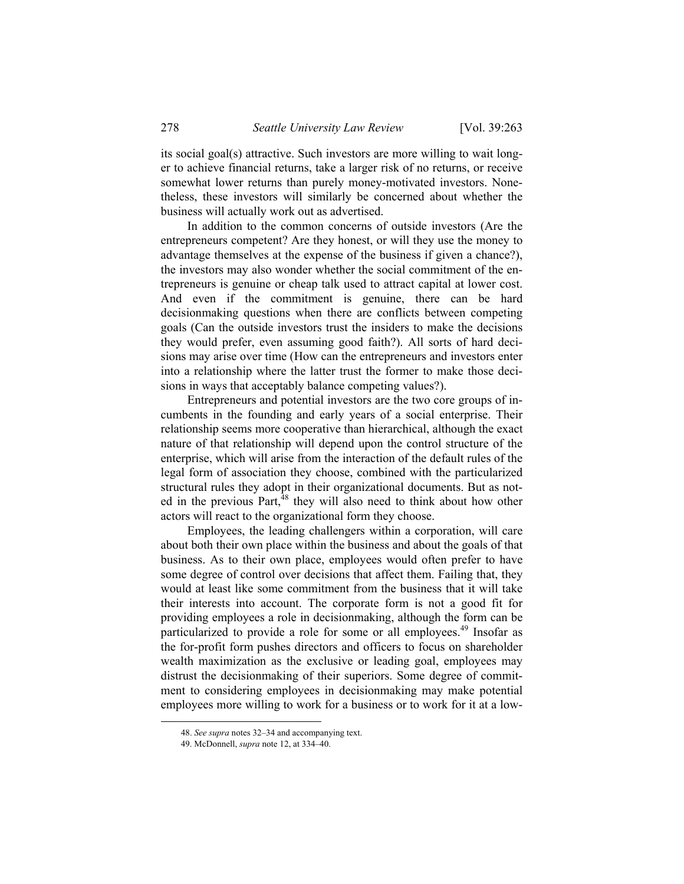its social goal(s) attractive. Such investors are more willing to wait longer to achieve financial returns, take a larger risk of no returns, or receive somewhat lower returns than purely money-motivated investors. Nonetheless, these investors will similarly be concerned about whether the business will actually work out as advertised.

In addition to the common concerns of outside investors (Are the entrepreneurs competent? Are they honest, or will they use the money to advantage themselves at the expense of the business if given a chance?), the investors may also wonder whether the social commitment of the entrepreneurs is genuine or cheap talk used to attract capital at lower cost. And even if the commitment is genuine, there can be hard decisionmaking questions when there are conflicts between competing goals (Can the outside investors trust the insiders to make the decisions they would prefer, even assuming good faith?). All sorts of hard decisions may arise over time (How can the entrepreneurs and investors enter into a relationship where the latter trust the former to make those decisions in ways that acceptably balance competing values?).

Entrepreneurs and potential investors are the two core groups of incumbents in the founding and early years of a social enterprise. Their relationship seems more cooperative than hierarchical, although the exact nature of that relationship will depend upon the control structure of the enterprise, which will arise from the interaction of the default rules of the legal form of association they choose, combined with the particularized structural rules they adopt in their organizational documents. But as noted in the previous Part, $^{48}$  they will also need to think about how other actors will react to the organizational form they choose.

Employees, the leading challengers within a corporation, will care about both their own place within the business and about the goals of that business. As to their own place, employees would often prefer to have some degree of control over decisions that affect them. Failing that, they would at least like some commitment from the business that it will take their interests into account. The corporate form is not a good fit for providing employees a role in decisionmaking, although the form can be particularized to provide a role for some or all employees.<sup>49</sup> Insofar as the for-profit form pushes directors and officers to focus on shareholder wealth maximization as the exclusive or leading goal, employees may distrust the decisionmaking of their superiors. Some degree of commitment to considering employees in decisionmaking may make potential employees more willing to work for a business or to work for it at a low-

 <sup>48.</sup> *See supra* notes 32–34 and accompanying text.

 <sup>49.</sup> McDonnell, *supra* note 12, at 334–40.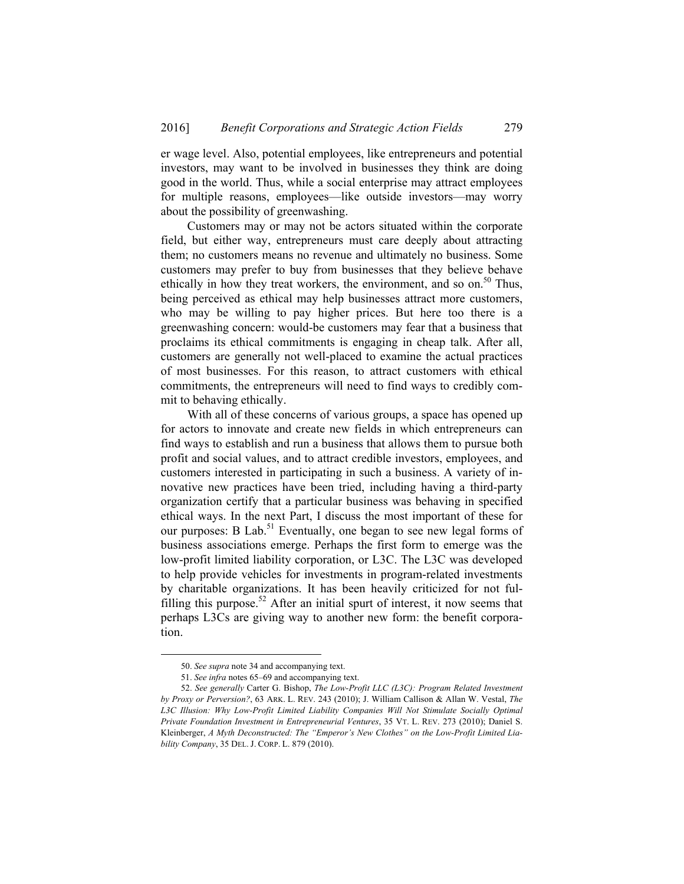er wage level. Also, potential employees, like entrepreneurs and potential investors, may want to be involved in businesses they think are doing good in the world. Thus, while a social enterprise may attract employees for multiple reasons, employees—like outside investors—may worry about the possibility of greenwashing.

Customers may or may not be actors situated within the corporate field, but either way, entrepreneurs must care deeply about attracting them; no customers means no revenue and ultimately no business. Some customers may prefer to buy from businesses that they believe behave ethically in how they treat workers, the environment, and so on.<sup>50</sup> Thus, being perceived as ethical may help businesses attract more customers, who may be willing to pay higher prices. But here too there is a greenwashing concern: would-be customers may fear that a business that proclaims its ethical commitments is engaging in cheap talk. After all, customers are generally not well-placed to examine the actual practices of most businesses. For this reason, to attract customers with ethical commitments, the entrepreneurs will need to find ways to credibly commit to behaving ethically.

With all of these concerns of various groups, a space has opened up for actors to innovate and create new fields in which entrepreneurs can find ways to establish and run a business that allows them to pursue both profit and social values, and to attract credible investors, employees, and customers interested in participating in such a business. A variety of innovative new practices have been tried, including having a third-party organization certify that a particular business was behaving in specified ethical ways. In the next Part, I discuss the most important of these for our purposes: B Lab.<sup>51</sup> Eventually, one began to see new legal forms of business associations emerge. Perhaps the first form to emerge was the low-profit limited liability corporation, or L3C. The L3C was developed to help provide vehicles for investments in program-related investments by charitable organizations. It has been heavily criticized for not fulfilling this purpose.<sup>52</sup> After an initial spurt of interest, it now seems that perhaps L3Cs are giving way to another new form: the benefit corporation.

 <sup>50.</sup> *See supra* note 34 and accompanying text.

<sup>51.</sup> *See infra* notes 65–69 and accompanying text.

<sup>52.</sup> *See generally* Carter G. Bishop, *The Low-Profit LLC (L3C): Program Related Investment by Proxy or Perversion?*, 63 ARK. L. REV. 243 (2010); J. William Callison & Allan W. Vestal, *The*  L3C Illusion: Why Low-Profit Limited Liability Companies Will Not Stimulate Socially Optimal *Private Foundation Investment in Entrepreneurial Ventures*, 35 VT. L. REV. 273 (2010); Daniel S. Kleinberger, *A Myth Deconstructed: The "Emperor's New Clothes" on the Low-Profit Limited Liability Company*, 35 DEL. J. CORP. L. 879 (2010).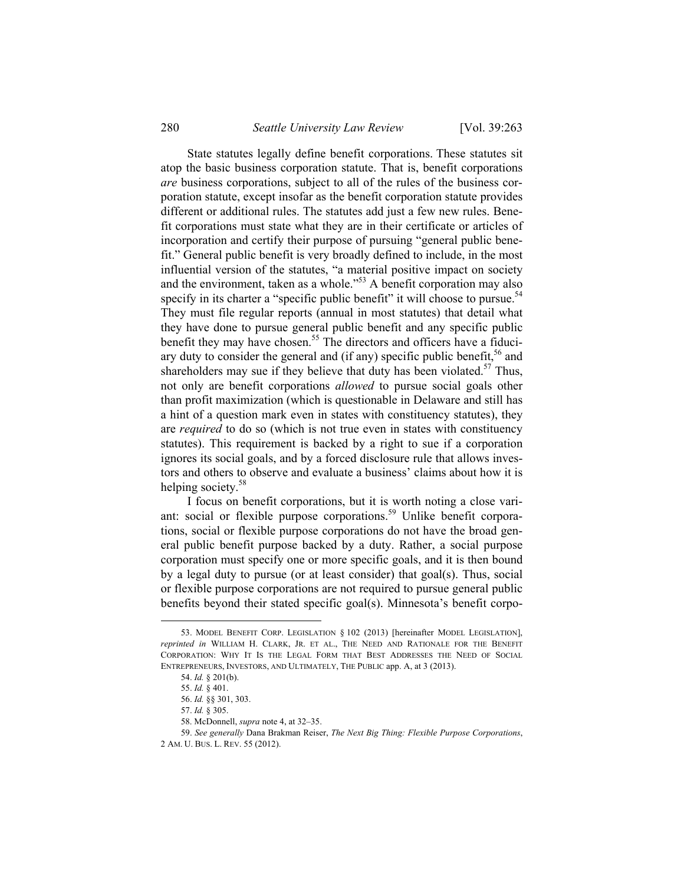State statutes legally define benefit corporations. These statutes sit atop the basic business corporation statute. That is, benefit corporations *are* business corporations, subject to all of the rules of the business corporation statute, except insofar as the benefit corporation statute provides different or additional rules. The statutes add just a few new rules. Benefit corporations must state what they are in their certificate or articles of incorporation and certify their purpose of pursuing "general public benefit." General public benefit is very broadly defined to include, in the most influential version of the statutes, "a material positive impact on society and the environment, taken as a whole."53 A benefit corporation may also specify in its charter a "specific public benefit" it will choose to pursue.<sup>54</sup> They must file regular reports (annual in most statutes) that detail what they have done to pursue general public benefit and any specific public benefit they may have chosen.<sup>55</sup> The directors and officers have a fiduciary duty to consider the general and (if any) specific public benefit,  $56$  and shareholders may sue if they believe that duty has been violated.<sup>57</sup> Thus, not only are benefit corporations *allowed* to pursue social goals other than profit maximization (which is questionable in Delaware and still has a hint of a question mark even in states with constituency statutes), they are *required* to do so (which is not true even in states with constituency statutes). This requirement is backed by a right to sue if a corporation ignores its social goals, and by a forced disclosure rule that allows investors and others to observe and evaluate a business' claims about how it is helping society.<sup>58</sup>

I focus on benefit corporations, but it is worth noting a close variant: social or flexible purpose corporations.<sup>59</sup> Unlike benefit corporations, social or flexible purpose corporations do not have the broad general public benefit purpose backed by a duty. Rather, a social purpose corporation must specify one or more specific goals, and it is then bound by a legal duty to pursue (or at least consider) that goal(s). Thus, social or flexible purpose corporations are not required to pursue general public benefits beyond their stated specific goal(s). Minnesota's benefit corpo-

 <sup>53.</sup> MODEL BENEFIT CORP. LEGISLATION § 102 (2013) [hereinafter MODEL LEGISLATION], *reprinted in* WILLIAM H. CLARK, JR. ET AL., THE NEED AND RATIONALE FOR THE BENEFIT CORPORATION: WHY IT IS THE LEGAL FORM THAT BEST ADDRESSES THE NEED OF SOCIAL ENTREPRENEURS, INVESTORS, AND ULTIMATELY, THE PUBLIC app. A, at 3 (2013).

<sup>54.</sup> *Id.* § 201(b).

<sup>55.</sup> *Id.* § 401.

<sup>56.</sup> *Id.* §§ 301, 303.

<sup>57.</sup> *Id.* § 305.

 <sup>58.</sup> McDonnell, *supra* note 4, at 32–35.

<sup>59.</sup> *See generally* Dana Brakman Reiser, *The Next Big Thing: Flexible Purpose Corporations*, 2 AM. U. BUS. L. REV. 55 (2012).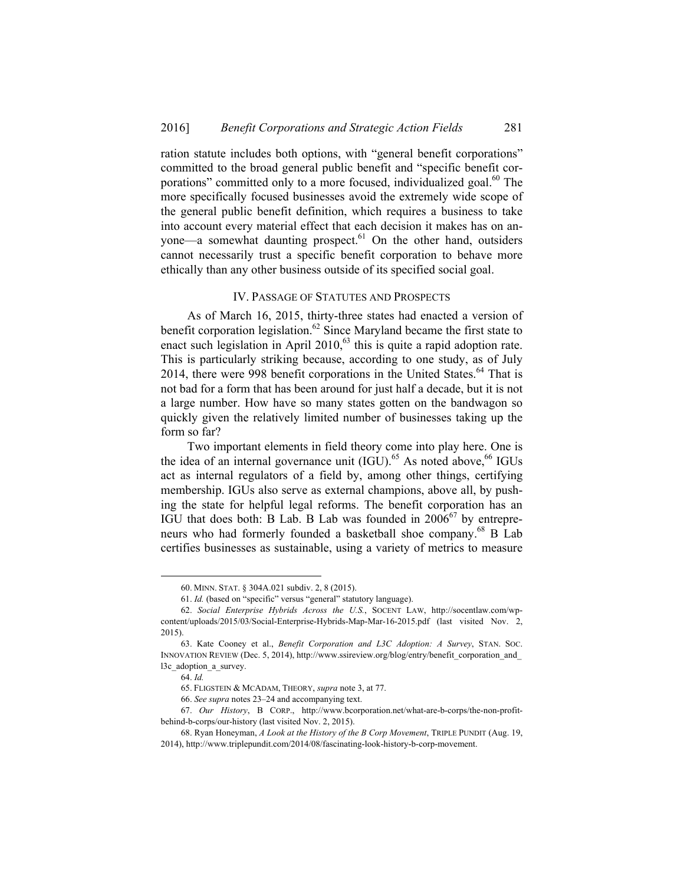ration statute includes both options, with "general benefit corporations" committed to the broad general public benefit and "specific benefit corporations" committed only to a more focused, individualized goal.<sup>60</sup> The more specifically focused businesses avoid the extremely wide scope of the general public benefit definition, which requires a business to take into account every material effect that each decision it makes has on anyone—a somewhat daunting prospect. $61$  On the other hand, outsiders cannot necessarily trust a specific benefit corporation to behave more ethically than any other business outside of its specified social goal.

## IV. PASSAGE OF STATUTES AND PROSPECTS

As of March 16, 2015, thirty-three states had enacted a version of benefit corporation legislation.<sup>62</sup> Since Maryland became the first state to enact such legislation in April  $2010$ ,  $63$  this is quite a rapid adoption rate. This is particularly striking because, according to one study, as of July 2014, there were 998 benefit corporations in the United States.<sup>64</sup> That is not bad for a form that has been around for just half a decade, but it is not a large number. How have so many states gotten on the bandwagon so quickly given the relatively limited number of businesses taking up the form so far?

Two important elements in field theory come into play here. One is the idea of an internal governance unit  $(\overline{IGU})$ .<sup>65</sup> As noted above,<sup>66</sup> IGUs act as internal regulators of a field by, among other things, certifying membership. IGUs also serve as external champions, above all, by pushing the state for helpful legal reforms. The benefit corporation has an IGU that does both: B Lab. B Lab was founded in  $2006^{67}$  by entrepreneurs who had formerly founded a basketball shoe company.68 B Lab certifies businesses as sustainable, using a variety of metrics to measure

 $\overline{a}$ 

 <sup>60.</sup> MINN. STAT. § 304A.021 subdiv. 2, 8 (2015).

<sup>61.</sup> *Id.* (based on "specific" versus "general" statutory language).

<sup>62.</sup> *Social Enterprise Hybrids Across the U.S.*, SOCENT LAW, http://socentlaw.com/wpcontent/uploads/2015/03/Social-Enterprise-Hybrids-Map-Mar-16-2015.pdf (last visited Nov. 2, 2015).

 <sup>63.</sup> Kate Cooney et al., *Benefit Corporation and L3C Adoption: A Survey*, STAN. SOC. INNOVATION REVIEW (Dec. 5, 2014), http://www.ssireview.org/blog/entry/benefit\_corporation\_and\_ l3c\_adoption\_a\_survey.

<sup>64.</sup> *Id.* 

 <sup>65.</sup> FLIGSTEIN & MCADAM, THEORY, *supra* note 3, at 77.

<sup>66.</sup> *See supra* notes 23–24 and accompanying text.

 <sup>67.</sup> *Our History*, B CORP., http://www.bcorporation.net/what-are-b-corps/the-non-profitbehind-b-corps/our-history (last visited Nov. 2, 2015).

 <sup>68.</sup> Ryan Honeyman, *A Look at the History of the B Corp Movement*, TRIPLE PUNDIT (Aug. 19, 2014), http://www.triplepundit.com/2014/08/fascinating-look-history-b-corp-movement.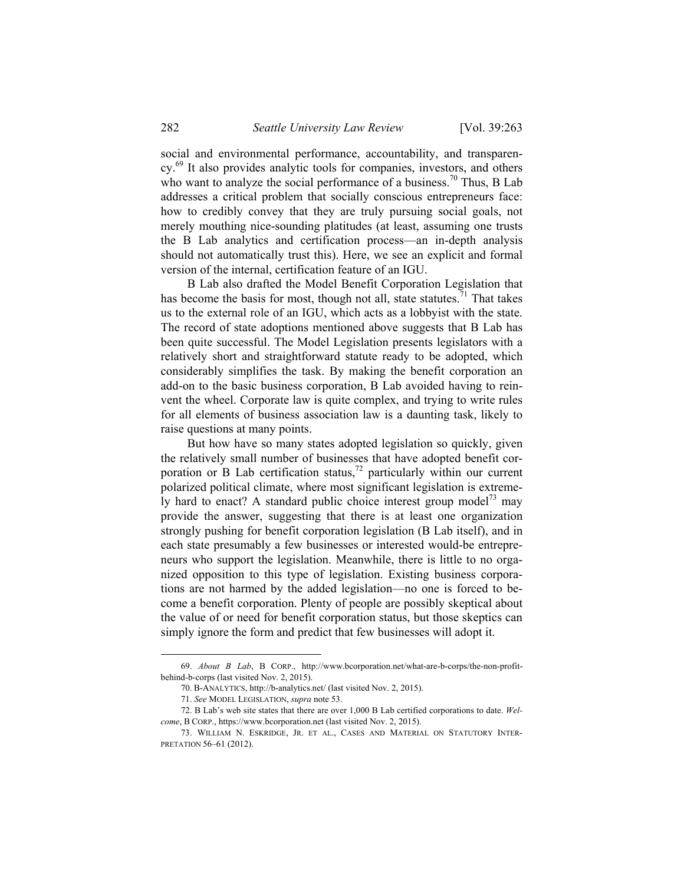social and environmental performance, accountability, and transparency.<sup>69</sup> It also provides analytic tools for companies, investors, and others who want to analyze the social performance of a business.<sup>70</sup> Thus, B Lab addresses a critical problem that socially conscious entrepreneurs face: how to credibly convey that they are truly pursuing social goals, not merely mouthing nice-sounding platitudes (at least, assuming one trusts the B Lab analytics and certification process—an in-depth analysis should not automatically trust this). Here, we see an explicit and formal version of the internal, certification feature of an IGU.

B Lab also drafted the Model Benefit Corporation Legislation that has become the basis for most, though not all, state statutes.<sup>71</sup> That takes us to the external role of an IGU, which acts as a lobbyist with the state. The record of state adoptions mentioned above suggests that B Lab has been quite successful. The Model Legislation presents legislators with a relatively short and straightforward statute ready to be adopted, which considerably simplifies the task. By making the benefit corporation an add-on to the basic business corporation, B Lab avoided having to reinvent the wheel. Corporate law is quite complex, and trying to write rules for all elements of business association law is a daunting task, likely to raise questions at many points.

But how have so many states adopted legislation so quickly, given the relatively small number of businesses that have adopted benefit corporation or B Lab certification status,<sup>72</sup> particularly within our current polarized political climate, where most significant legislation is extremely hard to enact? A standard public choice interest group model<sup>73</sup> may provide the answer, suggesting that there is at least one organization strongly pushing for benefit corporation legislation (B Lab itself), and in each state presumably a few businesses or interested would-be entrepreneurs who support the legislation. Meanwhile, there is little to no organized opposition to this type of legislation. Existing business corporations are not harmed by the added legislation—no one is forced to become a benefit corporation. Plenty of people are possibly skeptical about the value of or need for benefit corporation status, but those skeptics can simply ignore the form and predict that few businesses will adopt it.

 <sup>69.</sup> *About B Lab*, B CORP., http://www.bcorporation.net/what-are-b-corps/the-non-profitbehind-b-corps (last visited Nov. 2, 2015).

 <sup>70.</sup> B-ANALYTICS, http://b-analytics.net/ (last visited Nov. 2, 2015).

<sup>71.</sup> *See* MODEL LEGISLATION, *supra* note 53.

 <sup>72.</sup> B Lab's web site states that there are over 1,000 B Lab certified corporations to date. *Welcome*, B CORP., https://www.bcorporation.net (last visited Nov. 2, 2015).

 <sup>73.</sup> WILLIAM N. ESKRIDGE, JR. ET AL., CASES AND MATERIAL ON STATUTORY INTER-PRETATION 56–61 (2012).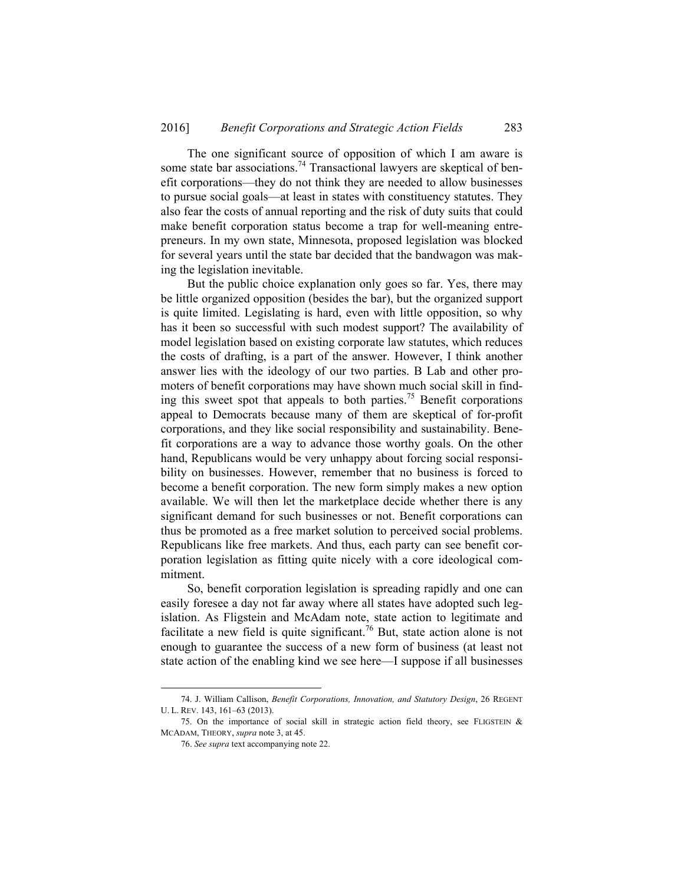The one significant source of opposition of which I am aware is some state bar associations.<sup>74</sup> Transactional lawyers are skeptical of benefit corporations—they do not think they are needed to allow businesses to pursue social goals—at least in states with constituency statutes. They also fear the costs of annual reporting and the risk of duty suits that could make benefit corporation status become a trap for well-meaning entrepreneurs. In my own state, Minnesota, proposed legislation was blocked for several years until the state bar decided that the bandwagon was making the legislation inevitable.

But the public choice explanation only goes so far. Yes, there may be little organized opposition (besides the bar), but the organized support is quite limited. Legislating is hard, even with little opposition, so why has it been so successful with such modest support? The availability of model legislation based on existing corporate law statutes, which reduces the costs of drafting, is a part of the answer. However, I think another answer lies with the ideology of our two parties. B Lab and other promoters of benefit corporations may have shown much social skill in finding this sweet spot that appeals to both parties.<sup>75</sup> Benefit corporations appeal to Democrats because many of them are skeptical of for-profit corporations, and they like social responsibility and sustainability. Benefit corporations are a way to advance those worthy goals. On the other hand, Republicans would be very unhappy about forcing social responsibility on businesses. However, remember that no business is forced to become a benefit corporation. The new form simply makes a new option available. We will then let the marketplace decide whether there is any significant demand for such businesses or not. Benefit corporations can thus be promoted as a free market solution to perceived social problems. Republicans like free markets. And thus, each party can see benefit corporation legislation as fitting quite nicely with a core ideological commitment.

So, benefit corporation legislation is spreading rapidly and one can easily foresee a day not far away where all states have adopted such legislation. As Fligstein and McAdam note, state action to legitimate and facilitate a new field is quite significant.<sup>76</sup> But, state action alone is not enough to guarantee the success of a new form of business (at least not state action of the enabling kind we see here—I suppose if all businesses

 <sup>74.</sup> J. William Callison, *Benefit Corporations, Innovation, and Statutory Design*, 26 REGENT U. L. REV. 143, 161–63 (2013).

<sup>75.</sup> On the importance of social skill in strategic action field theory, see FLIGSTEIN  $\&$ MCADAM, THEORY, *supra* note 3, at 45.

<sup>76.</sup> *See supra* text accompanying note 22.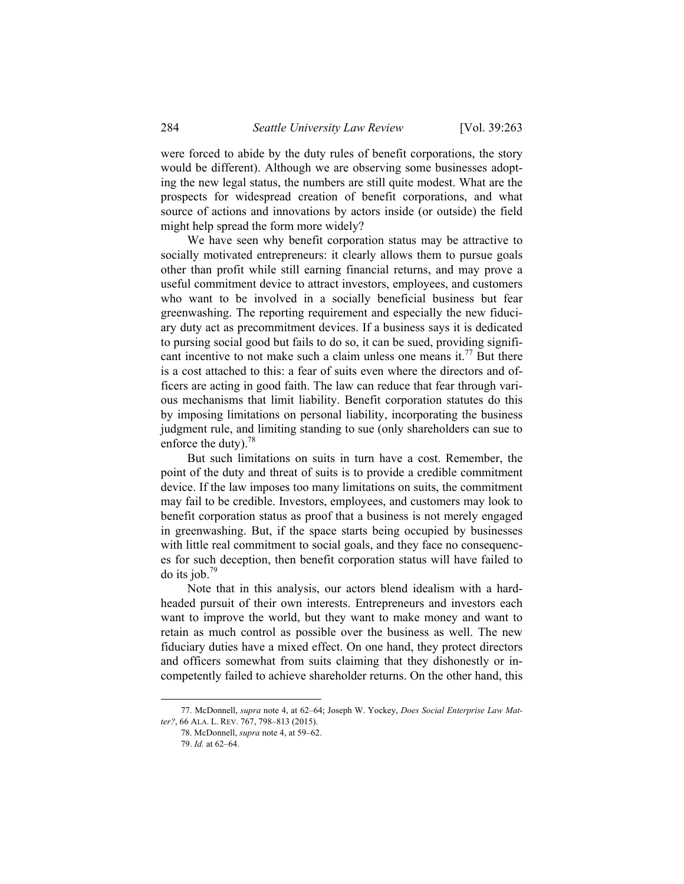were forced to abide by the duty rules of benefit corporations, the story would be different). Although we are observing some businesses adopting the new legal status, the numbers are still quite modest. What are the prospects for widespread creation of benefit corporations, and what source of actions and innovations by actors inside (or outside) the field might help spread the form more widely?

We have seen why benefit corporation status may be attractive to socially motivated entrepreneurs: it clearly allows them to pursue goals other than profit while still earning financial returns, and may prove a useful commitment device to attract investors, employees, and customers who want to be involved in a socially beneficial business but fear greenwashing. The reporting requirement and especially the new fiduciary duty act as precommitment devices. If a business says it is dedicated to pursing social good but fails to do so, it can be sued, providing significant incentive to not make such a claim unless one means it.<sup>77</sup> But there is a cost attached to this: a fear of suits even where the directors and officers are acting in good faith. The law can reduce that fear through various mechanisms that limit liability. Benefit corporation statutes do this by imposing limitations on personal liability, incorporating the business judgment rule, and limiting standing to sue (only shareholders can sue to enforce the duty). $78$ 

But such limitations on suits in turn have a cost. Remember, the point of the duty and threat of suits is to provide a credible commitment device. If the law imposes too many limitations on suits, the commitment may fail to be credible. Investors, employees, and customers may look to benefit corporation status as proof that a business is not merely engaged in greenwashing. But, if the space starts being occupied by businesses with little real commitment to social goals, and they face no consequences for such deception, then benefit corporation status will have failed to do its job. $79$ 

Note that in this analysis, our actors blend idealism with a hardheaded pursuit of their own interests. Entrepreneurs and investors each want to improve the world, but they want to make money and want to retain as much control as possible over the business as well. The new fiduciary duties have a mixed effect. On one hand, they protect directors and officers somewhat from suits claiming that they dishonestly or incompetently failed to achieve shareholder returns. On the other hand, this

 <sup>77.</sup> McDonnell, *supra* note 4, at 62–64; Joseph W. Yockey, *Does Social Enterprise Law Matter?*, 66 ALA. L. REV. 767, 798–813 (2015).

 <sup>78.</sup> McDonnell, *supra* note 4, at 59–62.

<sup>79.</sup> *Id.* at 62–64.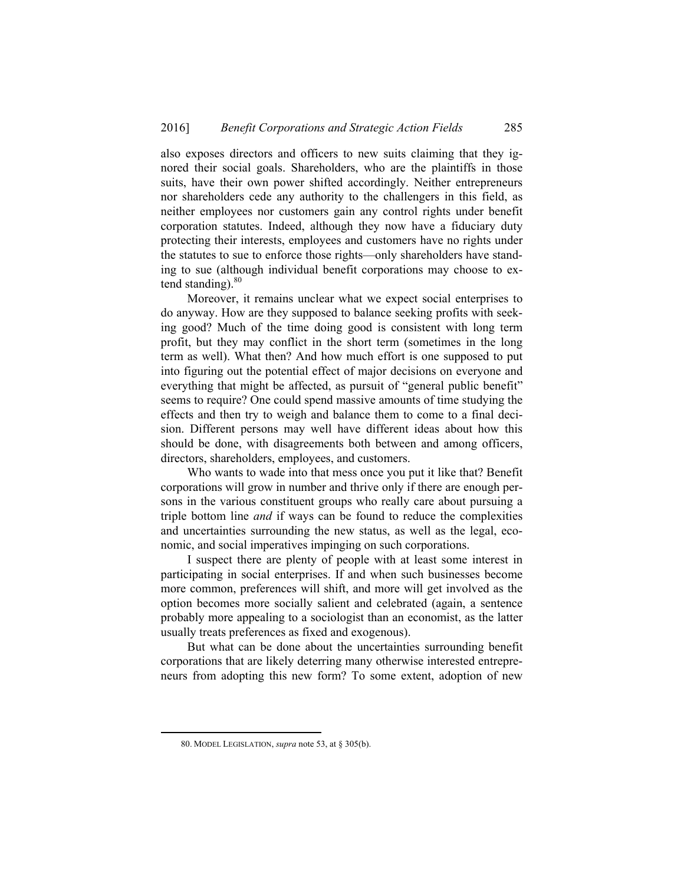also exposes directors and officers to new suits claiming that they ignored their social goals. Shareholders, who are the plaintiffs in those suits, have their own power shifted accordingly. Neither entrepreneurs nor shareholders cede any authority to the challengers in this field, as neither employees nor customers gain any control rights under benefit corporation statutes. Indeed, although they now have a fiduciary duty protecting their interests, employees and customers have no rights under the statutes to sue to enforce those rights—only shareholders have standing to sue (although individual benefit corporations may choose to extend standing). $80$ 

Moreover, it remains unclear what we expect social enterprises to do anyway. How are they supposed to balance seeking profits with seeking good? Much of the time doing good is consistent with long term profit, but they may conflict in the short term (sometimes in the long term as well). What then? And how much effort is one supposed to put into figuring out the potential effect of major decisions on everyone and everything that might be affected, as pursuit of "general public benefit" seems to require? One could spend massive amounts of time studying the effects and then try to weigh and balance them to come to a final decision. Different persons may well have different ideas about how this should be done, with disagreements both between and among officers, directors, shareholders, employees, and customers.

Who wants to wade into that mess once you put it like that? Benefit corporations will grow in number and thrive only if there are enough persons in the various constituent groups who really care about pursuing a triple bottom line *and* if ways can be found to reduce the complexities and uncertainties surrounding the new status, as well as the legal, economic, and social imperatives impinging on such corporations.

I suspect there are plenty of people with at least some interest in participating in social enterprises. If and when such businesses become more common, preferences will shift, and more will get involved as the option becomes more socially salient and celebrated (again, a sentence probably more appealing to a sociologist than an economist, as the latter usually treats preferences as fixed and exogenous).

But what can be done about the uncertainties surrounding benefit corporations that are likely deterring many otherwise interested entrepreneurs from adopting this new form? To some extent, adoption of new

 <sup>80.</sup> MODEL LEGISLATION, *supra* note 53, at § 305(b).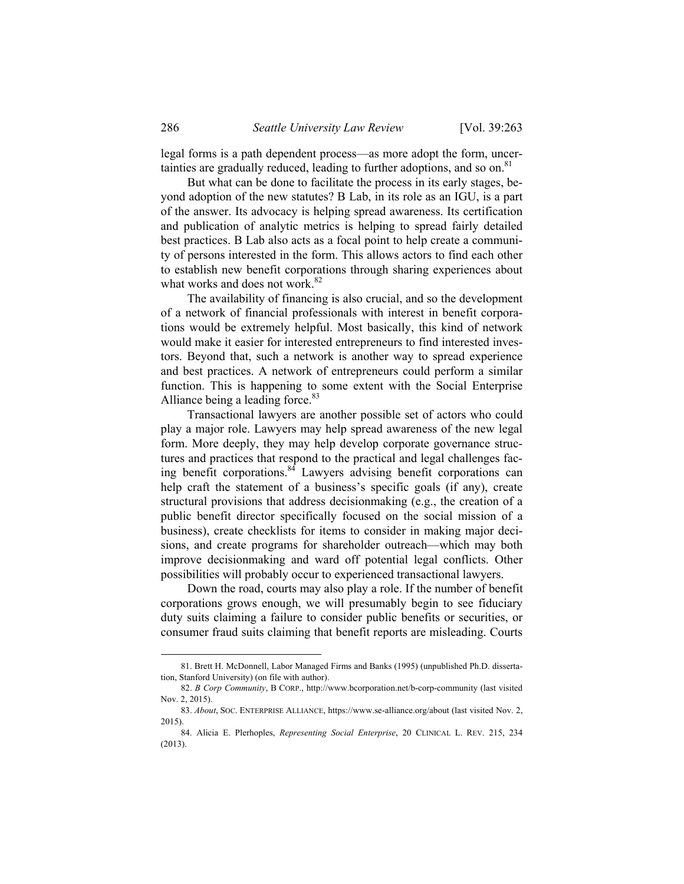legal forms is a path dependent process—as more adopt the form, uncertainties are gradually reduced, leading to further adoptions, and so on.<sup>81</sup>

But what can be done to facilitate the process in its early stages, beyond adoption of the new statutes? B Lab, in its role as an IGU, is a part of the answer. Its advocacy is helping spread awareness. Its certification and publication of analytic metrics is helping to spread fairly detailed best practices. B Lab also acts as a focal point to help create a community of persons interested in the form. This allows actors to find each other to establish new benefit corporations through sharing experiences about what works and does not work.<sup>82</sup>

The availability of financing is also crucial, and so the development of a network of financial professionals with interest in benefit corporations would be extremely helpful. Most basically, this kind of network would make it easier for interested entrepreneurs to find interested investors. Beyond that, such a network is another way to spread experience and best practices. A network of entrepreneurs could perform a similar function. This is happening to some extent with the Social Enterprise Alliance being a leading force.<sup>83</sup>

Transactional lawyers are another possible set of actors who could play a major role. Lawyers may help spread awareness of the new legal form. More deeply, they may help develop corporate governance structures and practices that respond to the practical and legal challenges facing benefit corporations. $84$  Lawyers advising benefit corporations can help craft the statement of a business's specific goals (if any), create structural provisions that address decisionmaking (e.g., the creation of a public benefit director specifically focused on the social mission of a business), create checklists for items to consider in making major decisions, and create programs for shareholder outreach—which may both improve decisionmaking and ward off potential legal conflicts. Other possibilities will probably occur to experienced transactional lawyers.

Down the road, courts may also play a role. If the number of benefit corporations grows enough, we will presumably begin to see fiduciary duty suits claiming a failure to consider public benefits or securities, or consumer fraud suits claiming that benefit reports are misleading. Courts

l

 <sup>81.</sup> Brett H. McDonnell, Labor Managed Firms and Banks (1995) (unpublished Ph.D. dissertation, Stanford University) (on file with author).

 <sup>82.</sup> *B Corp Community*, B CORP., http://www.bcorporation.net/b-corp-community (last visited Nov. 2, 2015).

<sup>83.</sup> *About*, SOC. ENTERPRISE ALLIANCE, https://www.se-alliance.org/about (last visited Nov. 2, 2015).

 <sup>84.</sup> Alicia E. Plerhoples, *Representing Social Enterprise*, 20 CLINICAL L. REV. 215, 234 (2013).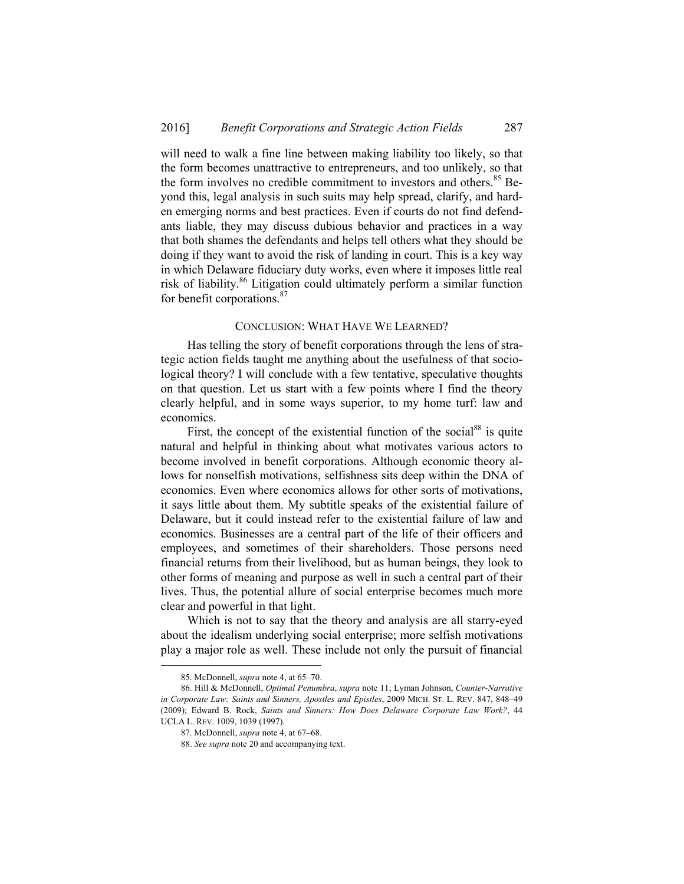will need to walk a fine line between making liability too likely, so that the form becomes unattractive to entrepreneurs, and too unlikely, so that the form involves no credible commitment to investors and others.<sup>85</sup> Beyond this, legal analysis in such suits may help spread, clarify, and harden emerging norms and best practices. Even if courts do not find defendants liable, they may discuss dubious behavior and practices in a way that both shames the defendants and helps tell others what they should be doing if they want to avoid the risk of landing in court. This is a key way in which Delaware fiduciary duty works, even where it imposes little real risk of liability.86 Litigation could ultimately perform a similar function for benefit corporations.<sup>87</sup>

### CONCLUSION: WHAT HAVE WE LEARNED?

Has telling the story of benefit corporations through the lens of strategic action fields taught me anything about the usefulness of that sociological theory? I will conclude with a few tentative, speculative thoughts on that question. Let us start with a few points where I find the theory clearly helpful, and in some ways superior, to my home turf: law and economics.

First, the concept of the existential function of the social $88$  is quite natural and helpful in thinking about what motivates various actors to become involved in benefit corporations. Although economic theory allows for nonselfish motivations, selfishness sits deep within the DNA of economics. Even where economics allows for other sorts of motivations, it says little about them. My subtitle speaks of the existential failure of Delaware, but it could instead refer to the existential failure of law and economics. Businesses are a central part of the life of their officers and employees, and sometimes of their shareholders. Those persons need financial returns from their livelihood, but as human beings, they look to other forms of meaning and purpose as well in such a central part of their lives. Thus, the potential allure of social enterprise becomes much more clear and powerful in that light.

Which is not to say that the theory and analysis are all starry-eyed about the idealism underlying social enterprise; more selfish motivations play a major role as well. These include not only the pursuit of financial

l

 <sup>85.</sup> McDonnell, *supra* note 4, at 65–70.

 <sup>86.</sup> Hill & McDonnell, *Optimal Penumbra*, *supra* note 11; Lyman Johnson, *Counter-Narrative in Corporate Law: Saints and Sinners, Apostles and Epistles*, 2009 MICH. ST. L. REV. 847, 848–49 (2009); Edward B. Rock, *Saints and Sinners: How Does Delaware Corporate Law Work?*, 44 UCLA L. REV. 1009, 1039 (1997).

 <sup>87.</sup> McDonnell, *supra* note 4, at 67–68.

<sup>88.</sup> *See supra* note 20 and accompanying text.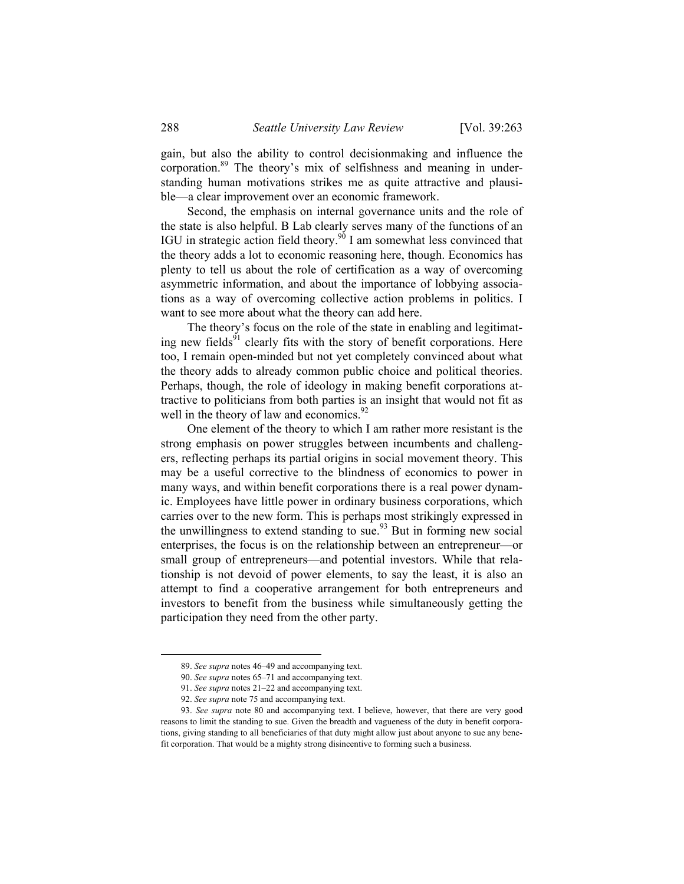gain, but also the ability to control decisionmaking and influence the corporation.<sup>89</sup> The theory's mix of selfishness and meaning in understanding human motivations strikes me as quite attractive and plausible—a clear improvement over an economic framework.

Second, the emphasis on internal governance units and the role of the state is also helpful. B Lab clearly serves many of the functions of an IGU in strategic action field theory.<sup>90</sup> I am somewhat less convinced that the theory adds a lot to economic reasoning here, though. Economics has plenty to tell us about the role of certification as a way of overcoming asymmetric information, and about the importance of lobbying associations as a way of overcoming collective action problems in politics. I want to see more about what the theory can add here.

The theory's focus on the role of the state in enabling and legitimating new fields $91$  clearly fits with the story of benefit corporations. Here too, I remain open-minded but not yet completely convinced about what the theory adds to already common public choice and political theories. Perhaps, though, the role of ideology in making benefit corporations attractive to politicians from both parties is an insight that would not fit as well in the theory of law and economics. $92$ 

One element of the theory to which I am rather more resistant is the strong emphasis on power struggles between incumbents and challengers, reflecting perhaps its partial origins in social movement theory. This may be a useful corrective to the blindness of economics to power in many ways, and within benefit corporations there is a real power dynamic. Employees have little power in ordinary business corporations, which carries over to the new form. This is perhaps most strikingly expressed in the unwillingness to extend standing to sue.<sup>93</sup> But in forming new social enterprises, the focus is on the relationship between an entrepreneur—or small group of entrepreneurs—and potential investors. While that relationship is not devoid of power elements, to say the least, it is also an attempt to find a cooperative arrangement for both entrepreneurs and investors to benefit from the business while simultaneously getting the participation they need from the other party.

 <sup>89.</sup> *See supra* notes 46–49 and accompanying text.

<sup>90.</sup> *See supra* notes 65–71 and accompanying text.

<sup>91.</sup> *See supra* notes 21–22 and accompanying text.

<sup>92.</sup> *See supra* note 75 and accompanying text.

<sup>93.</sup> *See supra* note 80 and accompanying text. I believe, however, that there are very good reasons to limit the standing to sue. Given the breadth and vagueness of the duty in benefit corporations, giving standing to all beneficiaries of that duty might allow just about anyone to sue any benefit corporation. That would be a mighty strong disincentive to forming such a business.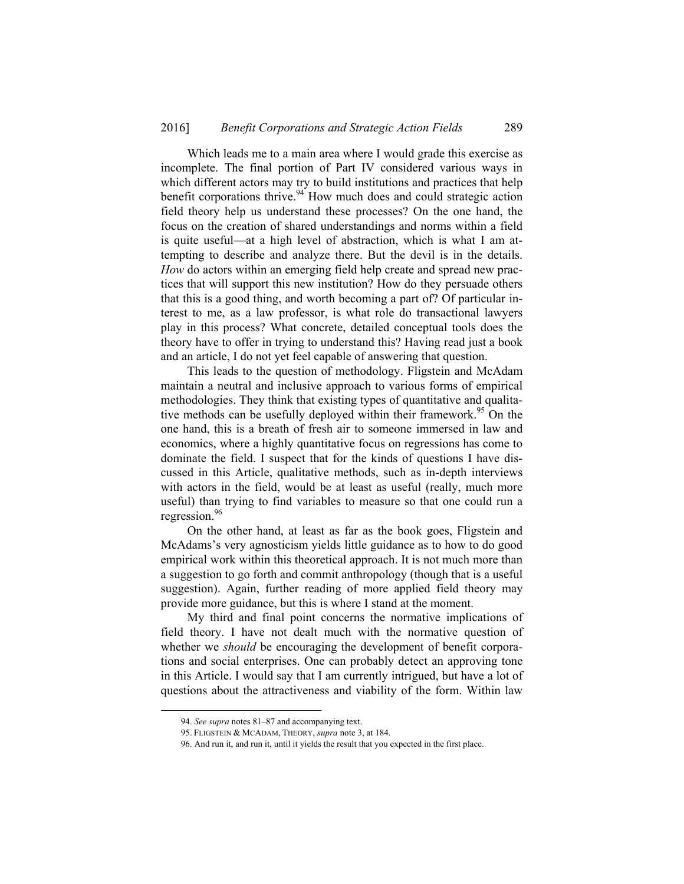Which leads me to a main area where I would grade this exercise as incomplete. The final portion of Part IV considered various ways in which different actors may try to build institutions and practices that help benefit corporations thrive.<sup>94</sup> How much does and could strategic action field theory help us understand these processes? On the one hand, the focus on the creation of shared understandings and norms within a field is quite useful—at a high level of abstraction, which is what I am attempting to describe and analyze there. But the devil is in the details. *How* do actors within an emerging field help create and spread new practices that will support this new institution? How do they persuade others that this is a good thing, and worth becoming a part of? Of particular interest to me, as a law professor, is what role do transactional lawyers play in this process? What concrete, detailed conceptual tools does the theory have to offer in trying to understand this? Having read just a book and an article, I do not yet feel capable of answering that question.

This leads to the question of methodology. Fligstein and McAdam maintain a neutral and inclusive approach to various forms of empirical methodologies. They think that existing types of quantitative and qualitative methods can be usefully deployed within their framework.<sup>95</sup> On the one hand, this is a breath of fresh air to someone immersed in law and economics, where a highly quantitative focus on regressions has come to dominate the field. I suspect that for the kinds of questions I have discussed in this Article, qualitative methods, such as in-depth interviews with actors in the field, would be at least as useful (really, much more useful) than trying to find variables to measure so that one could run a regression.<sup>96</sup>

On the other hand, at least as far as the book goes, Fligstein and McAdams's very agnosticism yields little guidance as to how to do good empirical work within this theoretical approach. It is not much more than a suggestion to go forth and commit anthropology (though that is a useful suggestion). Again, further reading of more applied field theory may provide more guidance, but this is where I stand at the moment.

My third and final point concerns the normative implications of field theory. I have not dealt much with the normative question of whether we *should* be encouraging the development of benefit corporations and social enterprises. One can probably detect an approving tone in this Article. I would say that I am currently intrigued, but have a lot of questions about the attractiveness and viability of the form. Within law

 <sup>94.</sup> *See supra* notes 81–87 and accompanying text.

 <sup>95.</sup> FLIGSTEIN & MCADAM, THEORY, *supra* note 3, at 184.

 <sup>96.</sup> And run it, and run it, until it yields the result that you expected in the first place.